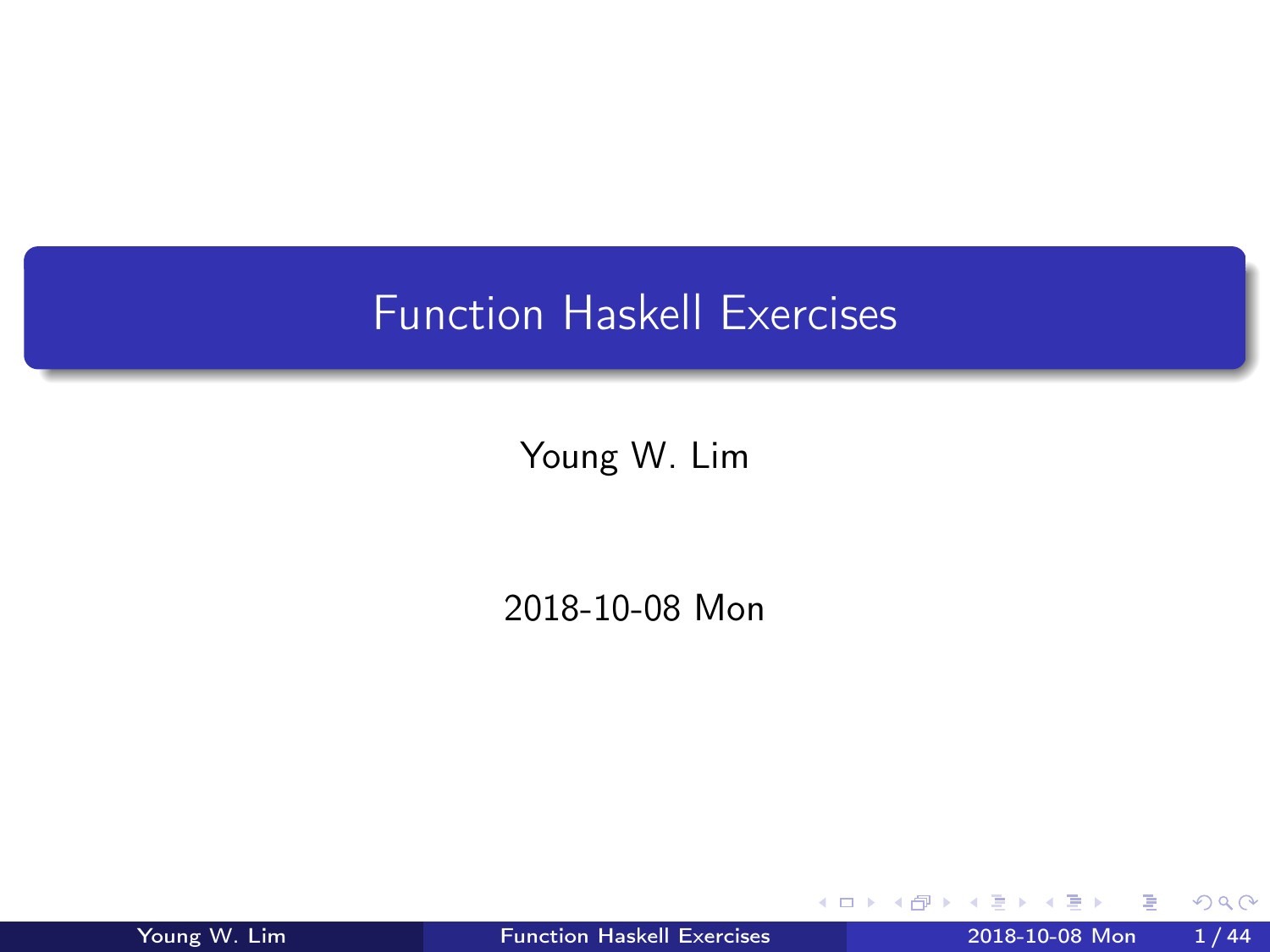# <span id="page-0-0"></span>Function Haskell Exercises

Young W. Lim

2018-10-08 Mon

4 0 8

 $\mathcal{A}$ - イ 局 ∍ D.  $\mathcal{A}$ 

÷ Young W. Lim [Function Haskell Exercises](#page-43-0) 2018-10-08 Mon 1 / 44

э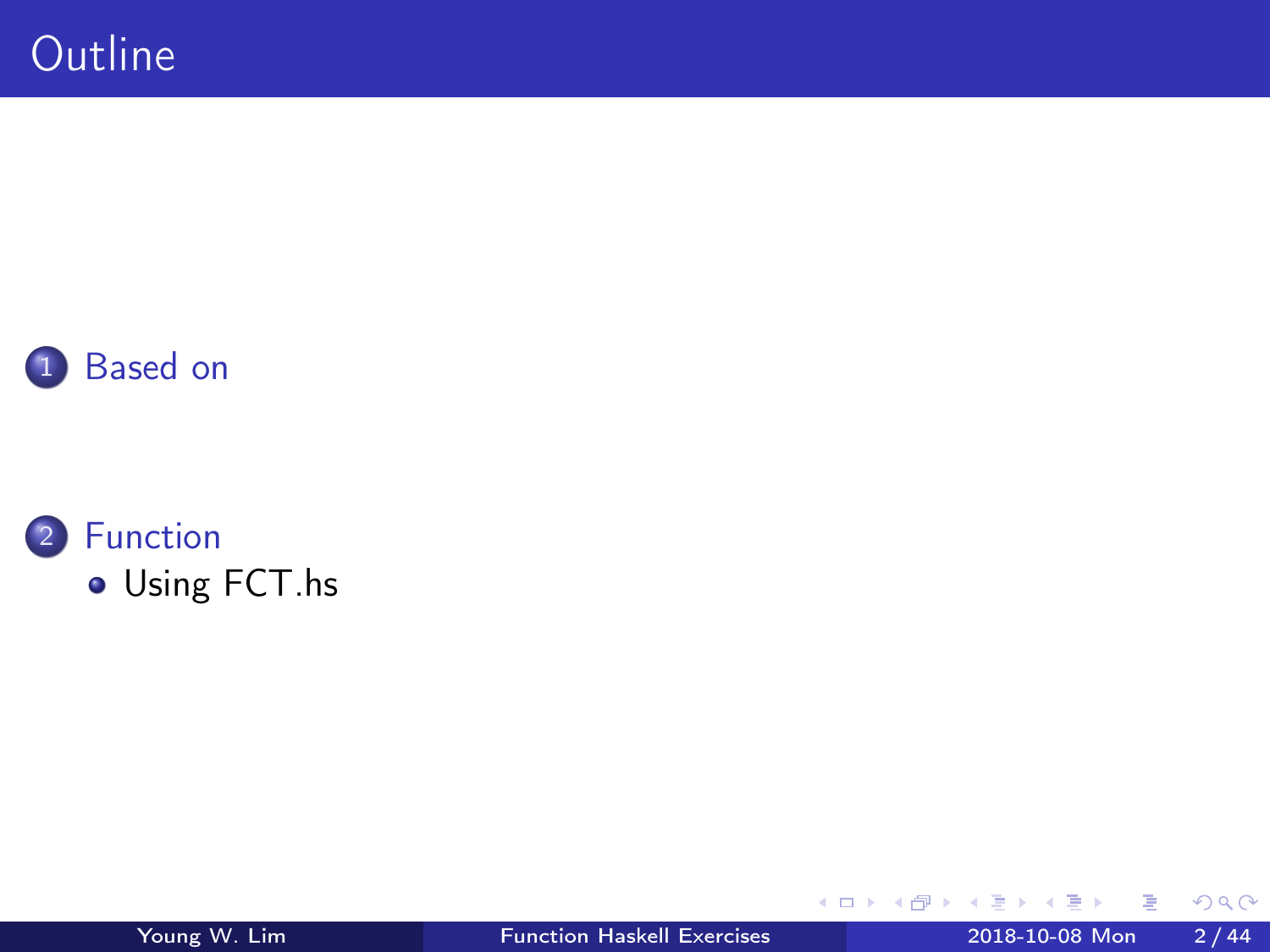



[Using FCT.hs](#page-3-0)

活

B

∍ D. ×.

**K ロ ト K 伊 ト K**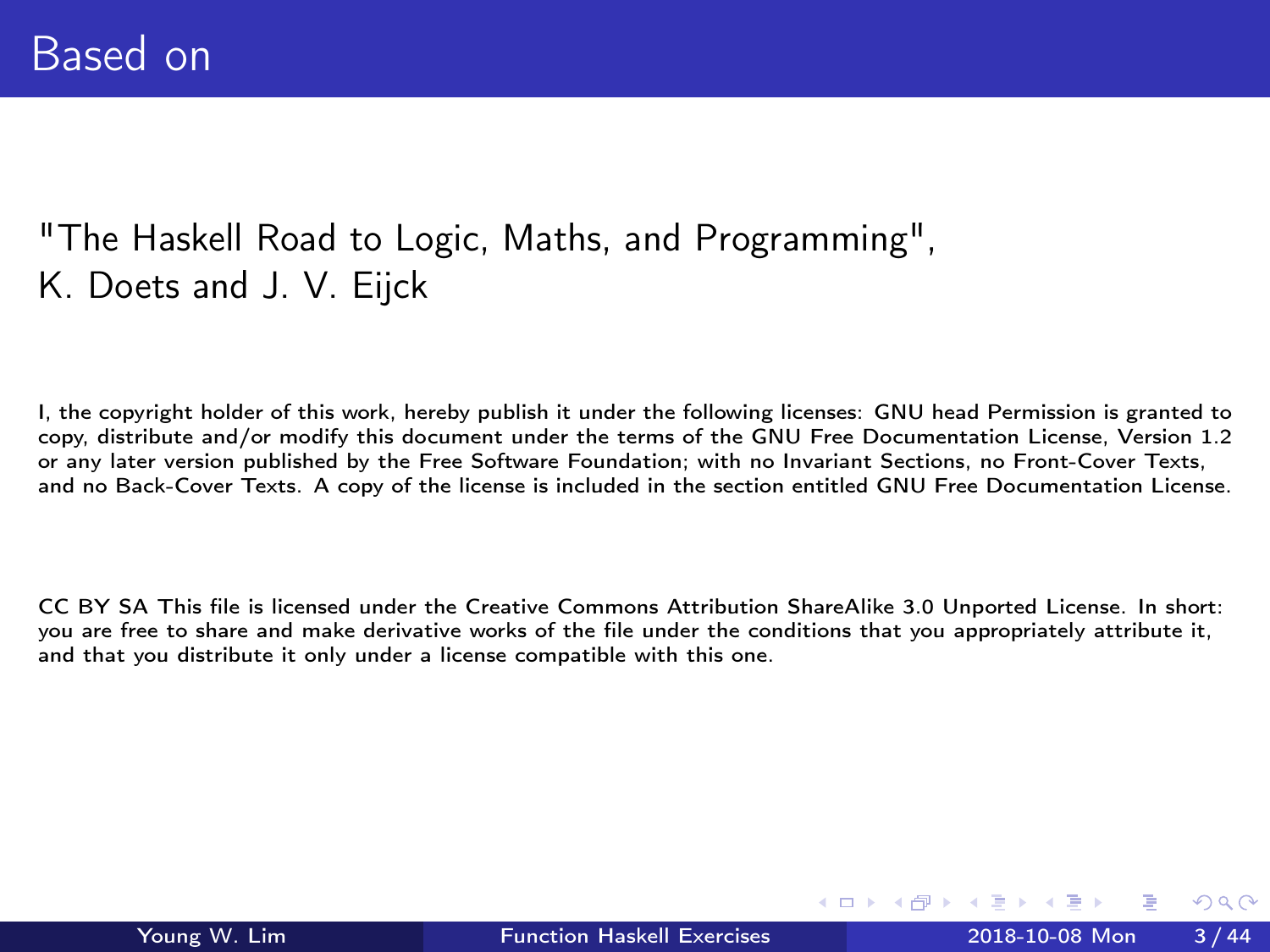### <span id="page-2-0"></span>"The Haskell Road to Logic, Maths, and Programming", K. Doets and J. V. Eijck

I, the copyright holder of this work, hereby publish it under the following licenses: GNU head Permission is granted to copy, distribute and/or modify this document under the terms of the GNU Free Documentation License, Version 1.2 or any later version published by the Free Software Foundation; with no Invariant Sections, no Front-Cover Texts, and no Back-Cover Texts. A copy of the license is included in the section entitled GNU Free Documentation License.

CC BY SA This file is licensed under the Creative Commons Attribution ShareAlike 3.0 Unported License. In short: you are free to share and make derivative works of the file under the conditions that you appropriately attribute it, and that you distribute it only under a license compatible with this one.

( □ ) ( <sub>□</sub> ) (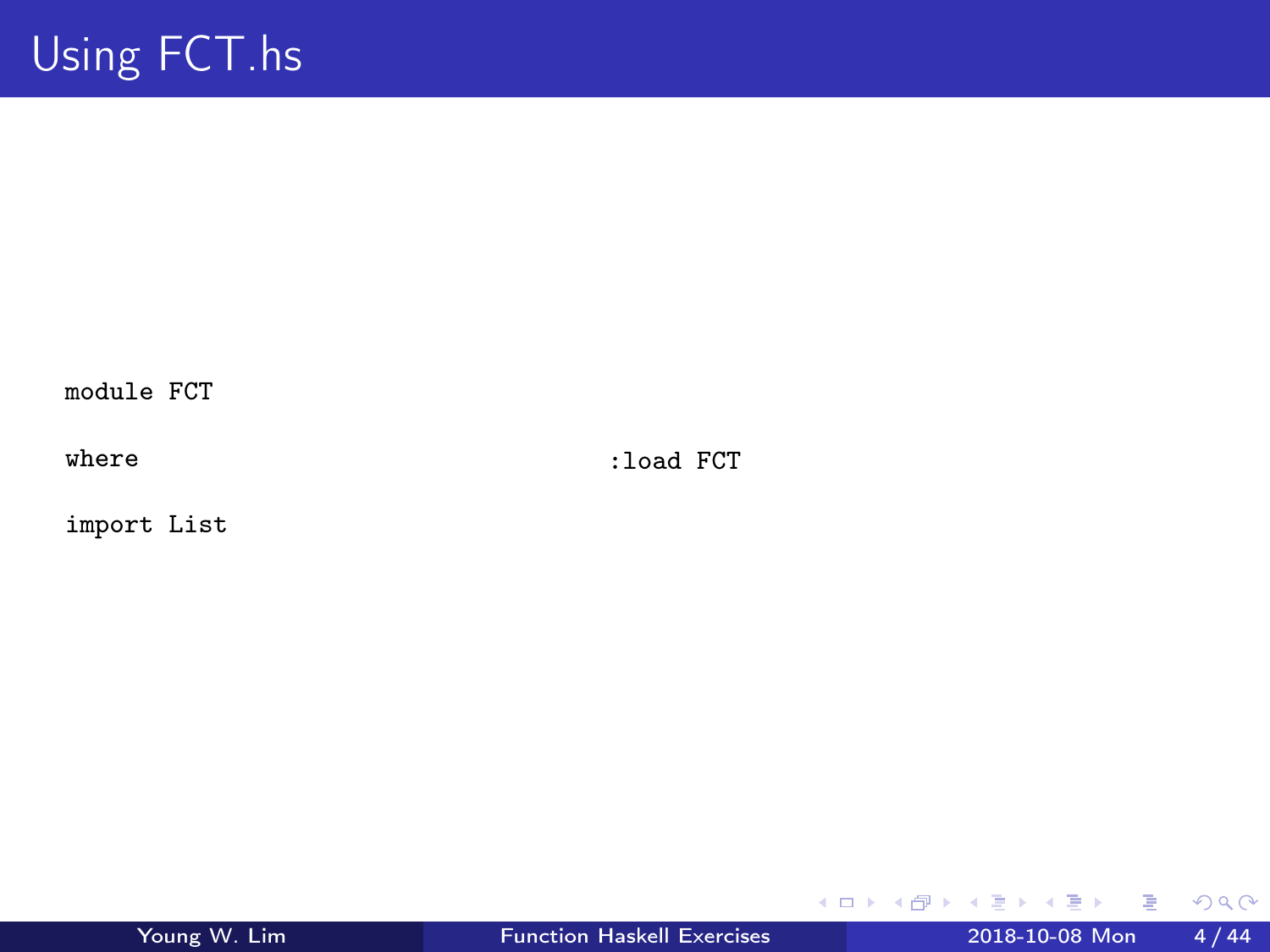<span id="page-3-0"></span>module FCT

where

:load FCT

import List

重

 $2990$ 

イロト イ部 トメ ヨ トメ ヨト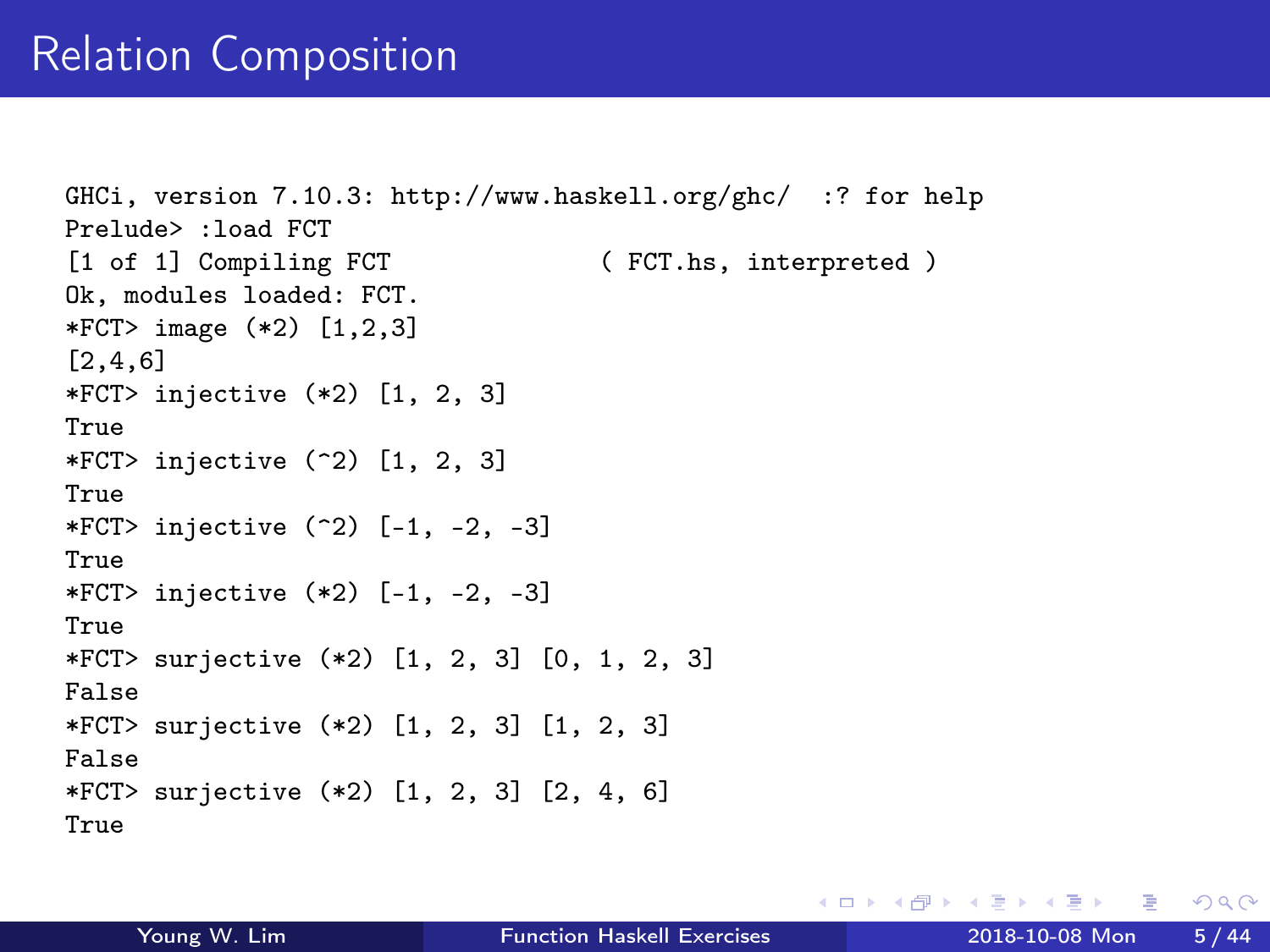# Relation Composition

```
GHCi, version 7.10.3: http://www.haskell.org/ghc/ :? for help
Prelude> :load FCT
[1 of 1] Compiling FCT (FCT.hs, interpreted )
Ok, modules loaded: FCT.
*FCT> image (*2) [1,2,3]
[2,4,6]
*FCT> injective (*2) [1, 2, 3]
True
*FCT> injective (2) [1, 2, 3]
True
*FCT> injective (2) [-1, -2, -3]
True
*FCT> injective (*2) [-1, -2, -3]
True
*FCT> surjective (*2) [1, 2, 3] [0, 1, 2, 3]
False
*FCT> surjective (*2) [1, 2, 3] [1, 2, 3]
False
*FCT> surjective (*2) [1, 2, 3] [2, 4, 6]
True
```
イロト イ押ト イヨト イヨト

 $\eta$ an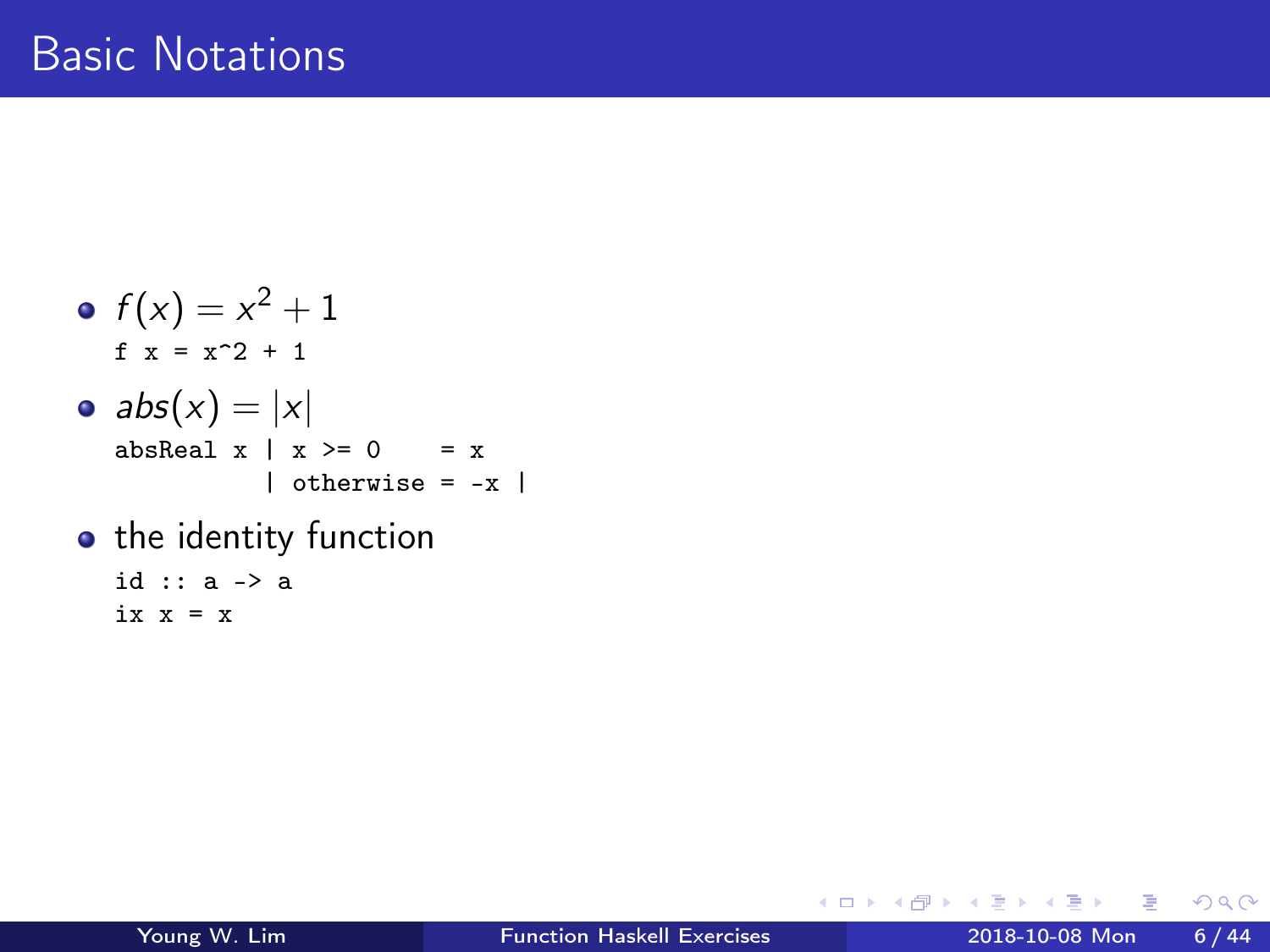\n- $$
f(x) = x^2 + 1
$$
 \n
	\n- $x = x^2 + 1$
	\n- $abs(x) = |x|$
	\n- $absReal x \mid x >= 0$  \n
		\n- $x$  \n
			\n- $l$  otherwise \n
				\n- $x$  \n
					\n- $l$  otherwise \n
						\n- $x$  \n
							\n- $l$  otherwise \n
								\n- $x$  \n
									\n- $l$  otherwise \n
										\n- $k$  \n
											\n- $l$  otherwise \n
												\n- $k$  \n
													\n- $l$  otherwise \n
														\n- $k$  \n
															\n- $l$  otherwise \n
																\n- $k$  \n
																	\n- $l$  otherwise \n
																		\n- $k$  \n
																			\n- $l$  otherwise \n
																				\n- $l$  \n
																					\n- $l$  otherwise \n
																						\n- $l$  \n
																							\n- $l$  otherwise \n
																								\n- $l$  \n
																									\n- $l$  \n
																										\n- $l$  \n
																											\n- $l$  \n
																												\n- $l$  \n
																													\n- $l$  \n
																														\n- $l$  \n
																															\n- $l$  \n
																																\n- $l$  \n
																																	\n- $l$  \n
																																		\n- $$

• the identity function id :: a -> a

ix  $x = x$ 

メロト メタト メミト メミト

重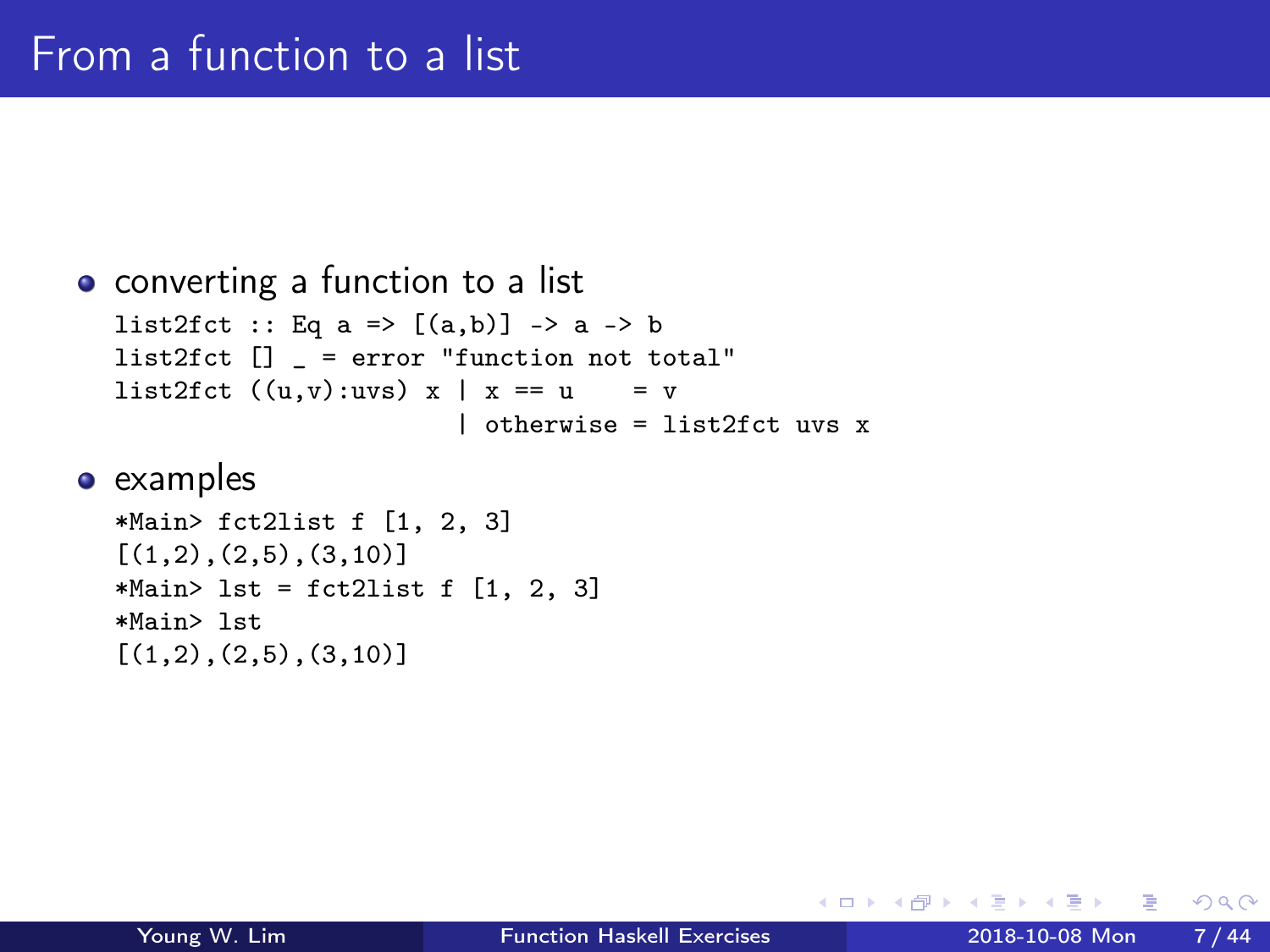```
• converting a function to a list
  list2fct :: Eq a => [(a,b)] -> a -> b
  list2fct [] = error "function not total"
  list2fct ((u,v):uvs) x | x == u = v
                         | otherwise = list2fct uvs x
```

```
*Main> fct2list f [1, 2, 3]
[(1,2), (2,5), (3,10)]*Main> lst = fct2list f [1, 2, 3]*Main> lst
[(1,2), (2,5), (3,10)]
```
- イ 局

 $QQ$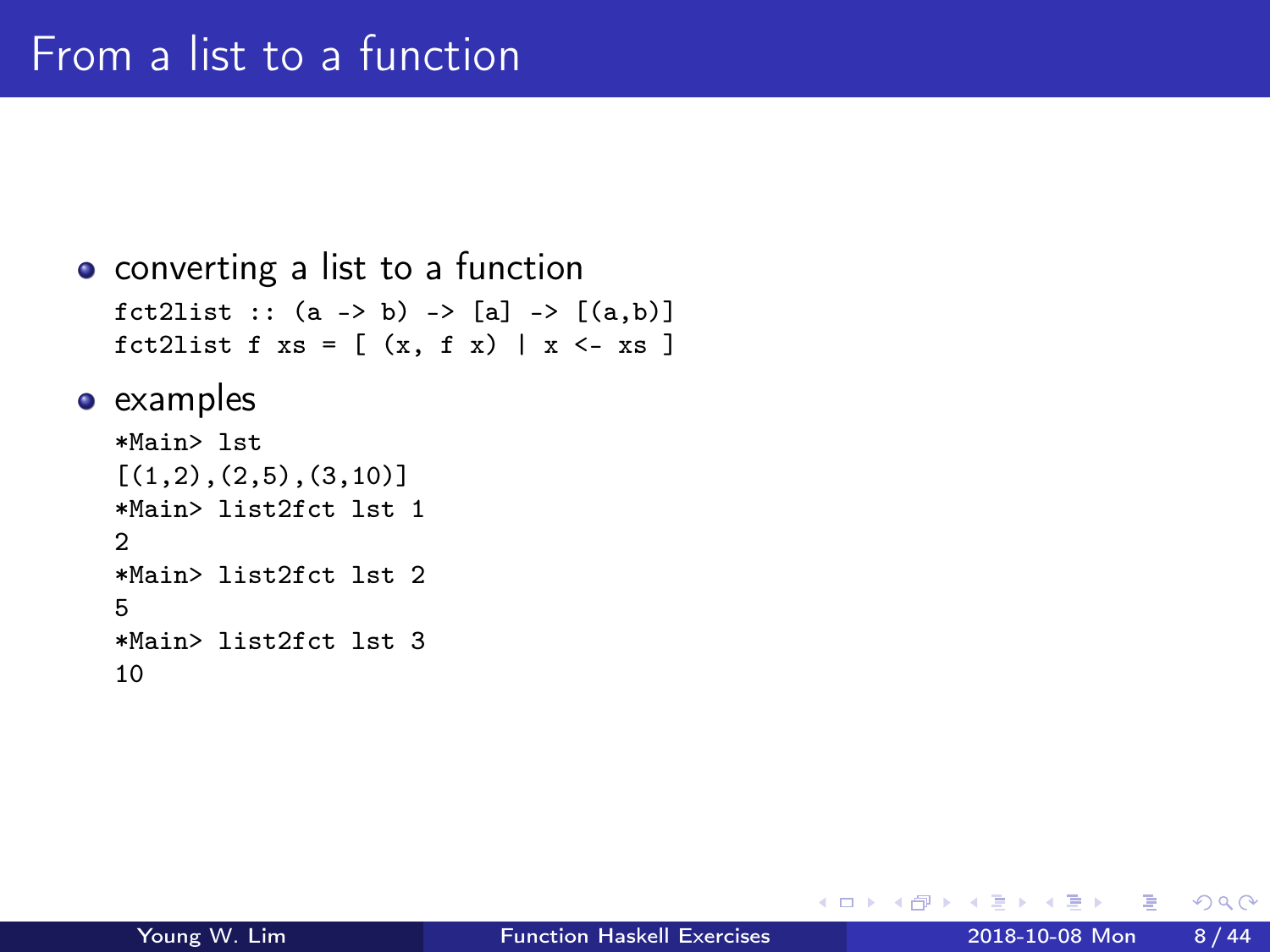```
• converting a list to a function
   fct2list :: (a \rightarrow b) \rightarrow [a] \rightarrow [(a,b)]fct2list f xs = [ (x, f x) | x \leftarrow xs ]
```

```
*Main> lst
[(1,2), (2,5), (3,10)]*Main> list2fct lst 1
\overline{2}*Main> list2fct lst 2
5
*Main> list2fct lst 3
10
```
4 **E** F

**同 > <** 

 $QQ$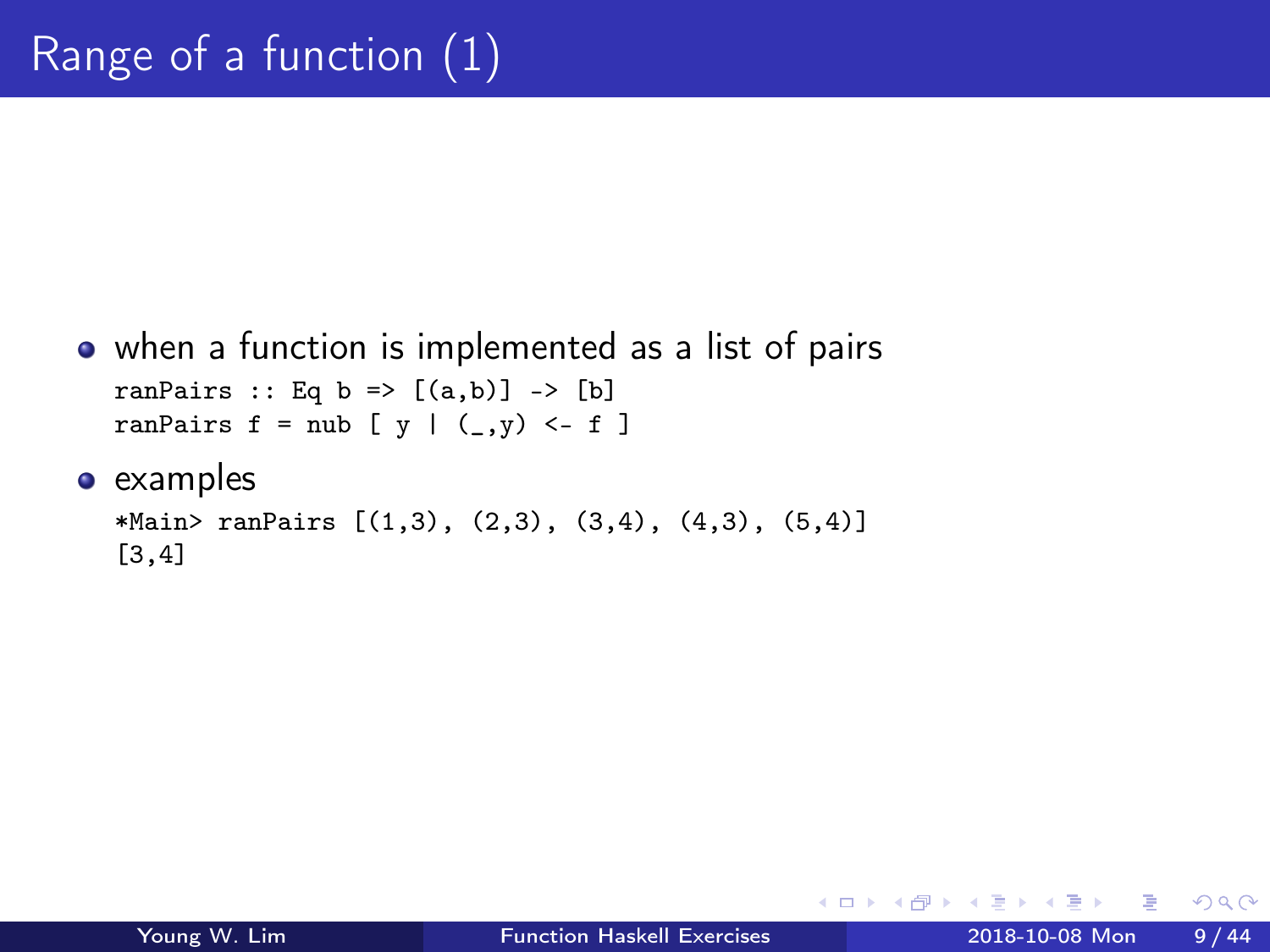```
when a function is implemented as a list of pairs
  ranPairs :: Eq b => [(a,b)] -> [b]ranPairs f = nub [y \mid (-, y) < -f]
```

```
*Main> ranPairs [(1,3), (2,3), (3,4), (4,3), (5,4)][3,4]
```
 $\leftarrow$   $\Box$ 

**同 > <** 

 $\Omega$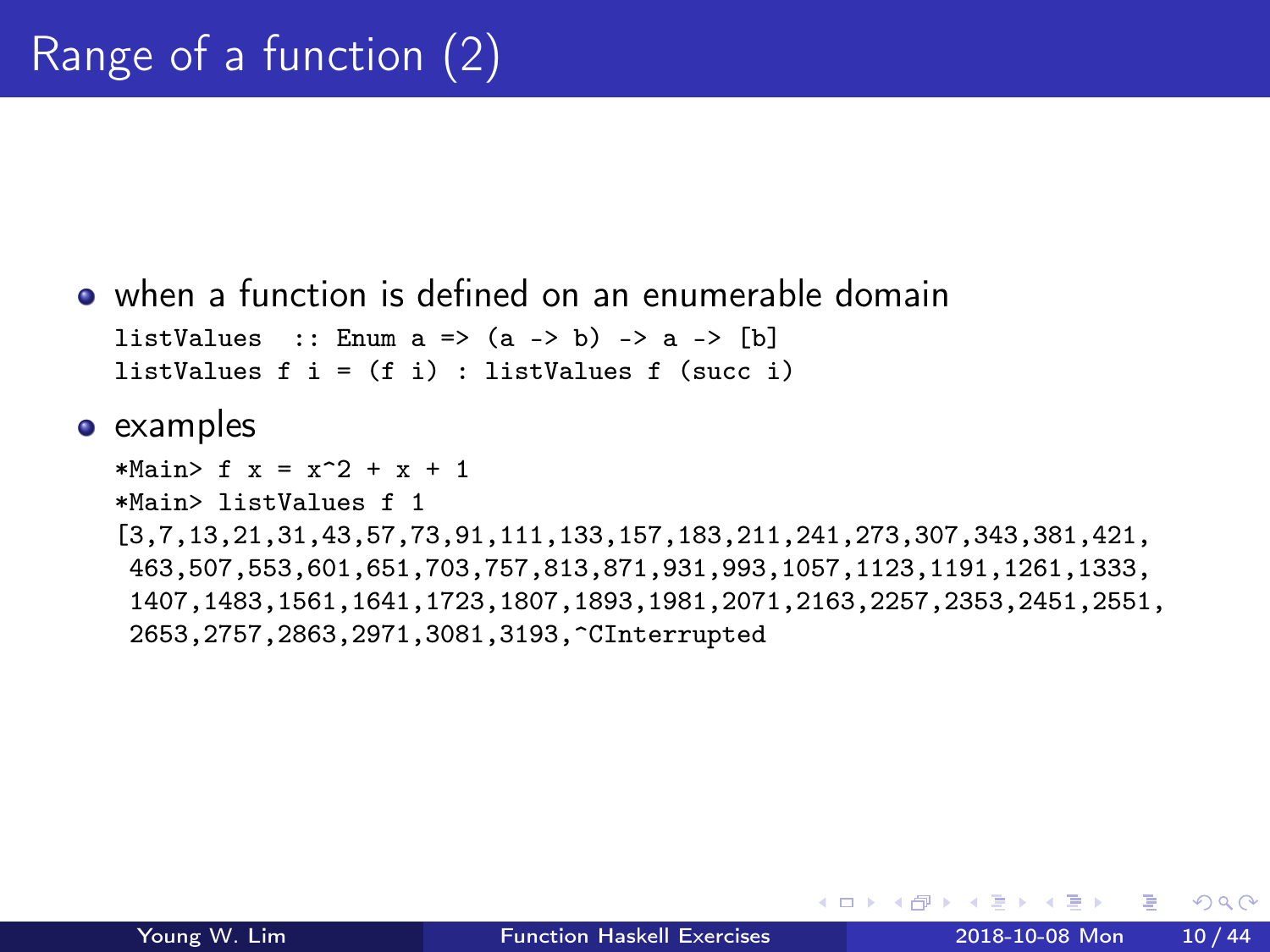```
when a function is defined on an enumerable domain
  listValues :: Enum a \Rightarrow (a \Rightarrow b) \Rightarrow a \Rightarrow [b]listValues f i = (f i) : listValues f (succ i)
```

```
*Main> f(x) = x^2 + x + 1*Main> listValues f 1
[3,7,13,21,31,43,57,73,91,111,133,157,183,211,241,273,307,343,381,421,
463,507,553,601,651,703,757,813,871,931,993,1057,1123,1191,1261,1333,
 1407,1483,1561,1641,1723,1807,1893,1981,2071,2163,2257,2353,2451,2551,
2653,2757,2863,2971,3081,3193,^CInterrupted
```
 $\leftarrow$   $\leftarrow$   $\leftarrow$   $\leftarrow$ 

 $QQ$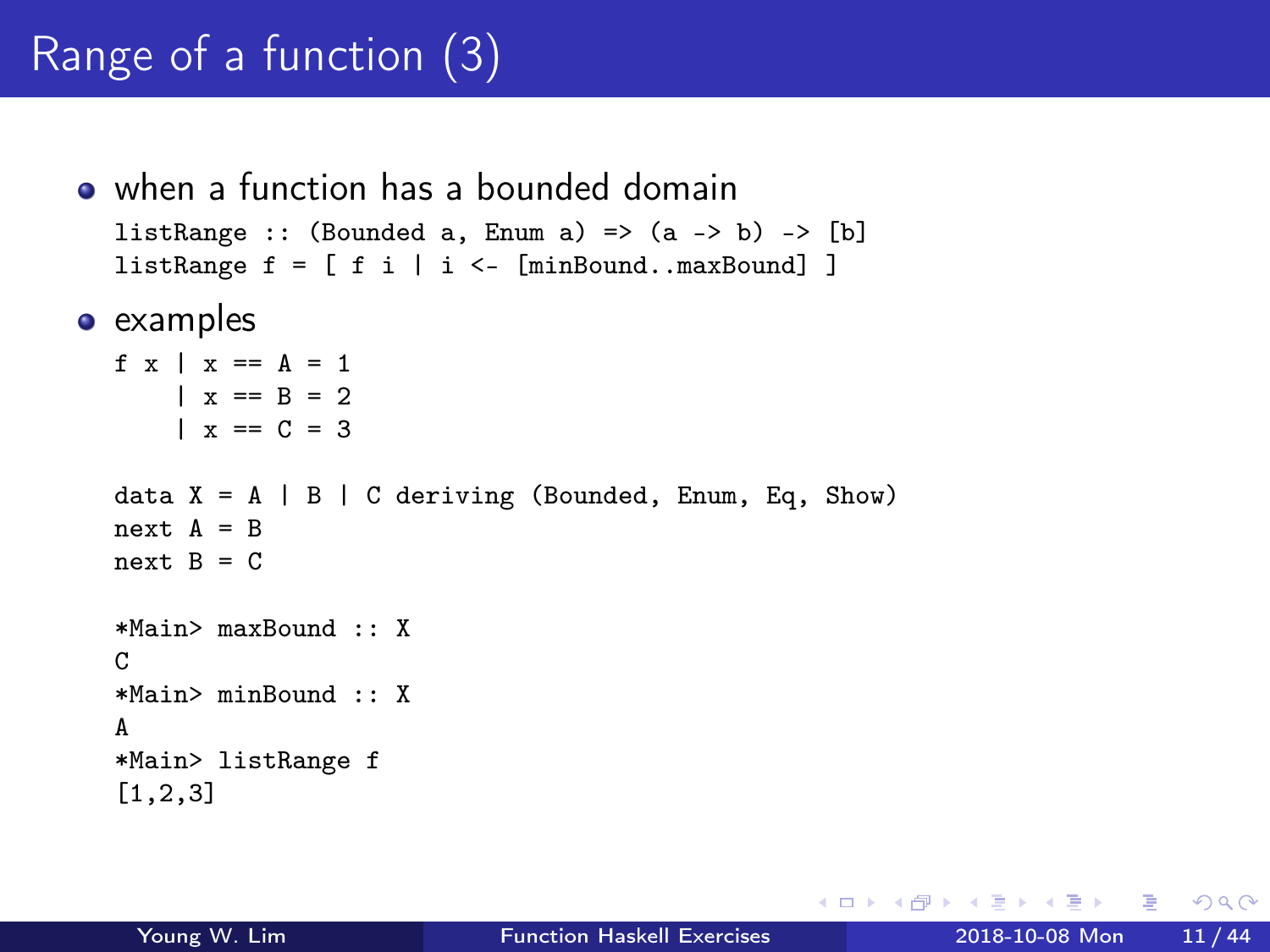# Range of a function (3)

when a function has a bounded domain listRange :: (Bounded a, Enum a) =>  $(a \rightarrow b)$  -> [b] listRange  $f = [ f i | i \leftarrow [minBound..maxBound ] ]$ 

• examples

```
f x \mid x == A == 1| x == R = 2|x == C = 3data X = A \mid B \mid C deriving (Bounded, Enum, Eq, Show)
next A = Bnext B = C*Main> maxBound :: X
\mathcal{C}*Main> minBound :: X
A
*Main> listRange f
[1,2,3]
```
G.  $\Omega$ 

 $\sqrt{m}$  )  $\sqrt{m}$  )  $\sqrt{m}$  )

4 **E** F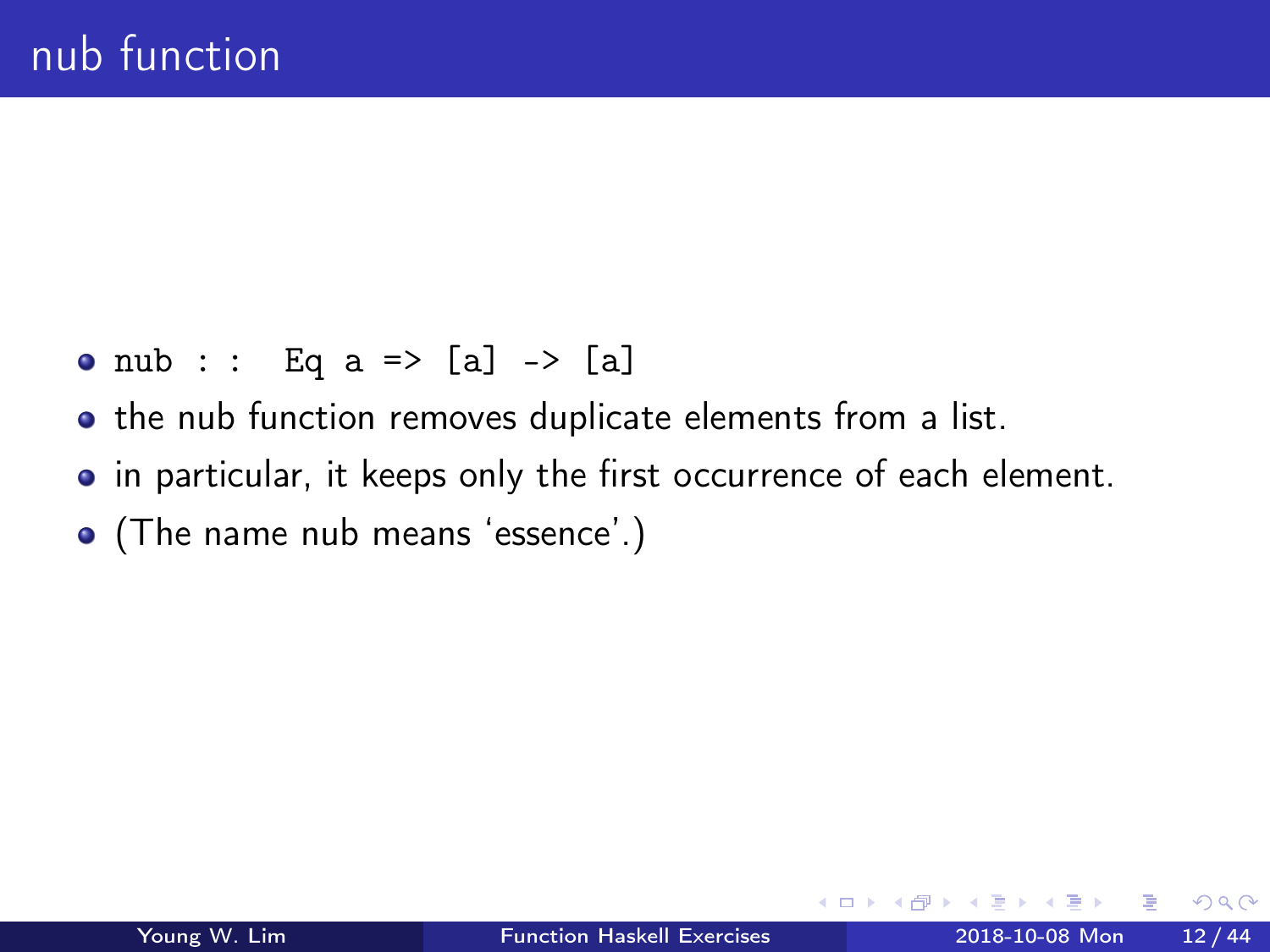- nub : : Eq a => [a] -> [a]
- the nub function removes duplicate elements from a list.
- in particular, it keeps only the first occurrence of each element.
- (The name nub means 'essence'.)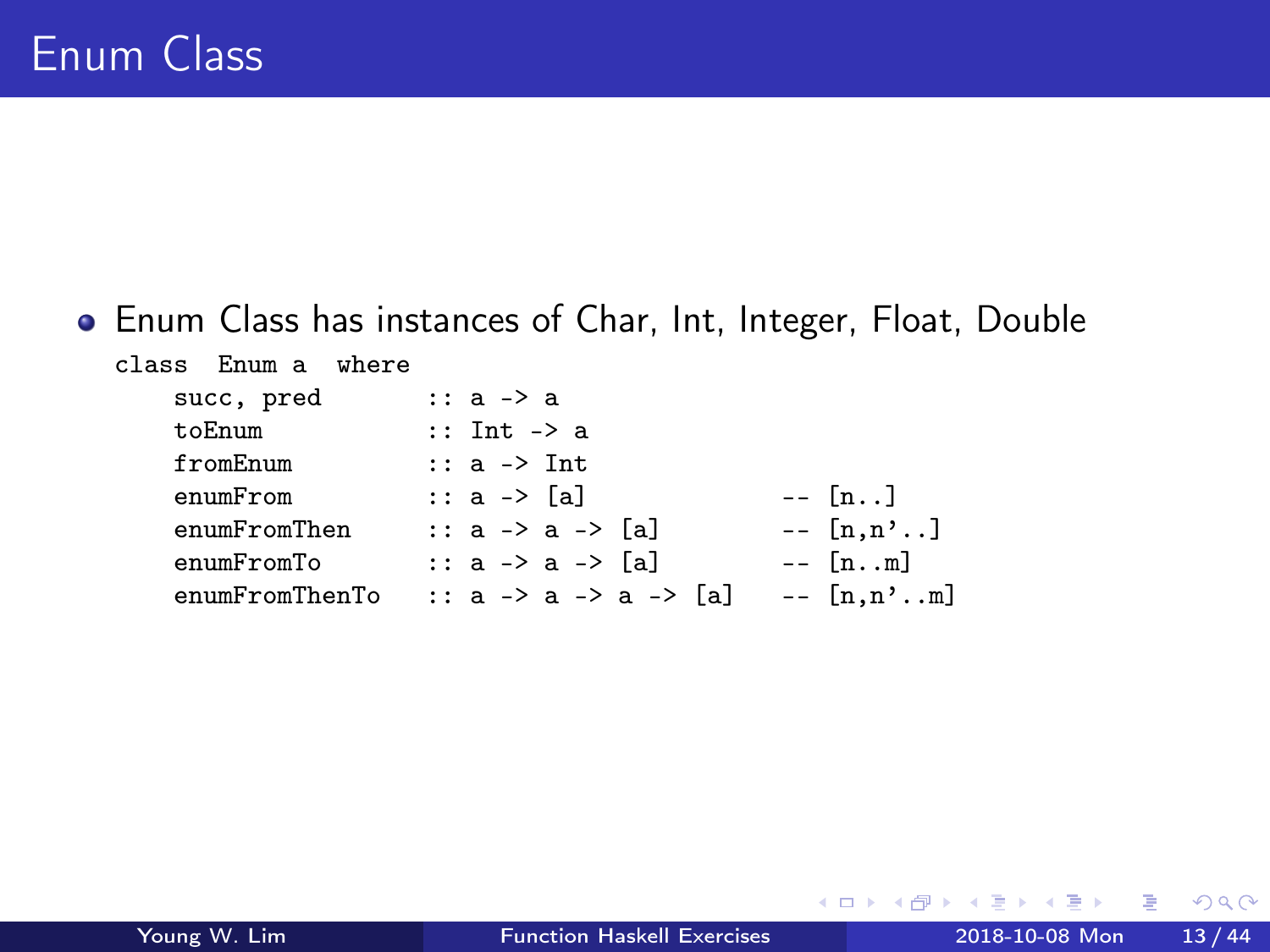#### Enum Class has instances of Char, Int, Integer, Float, Double

| succ, pred<br>$\therefore$ a $\rightarrow$ a<br>$:$ : Int $\rightarrow$ a<br>toEnum<br>fromEnum<br>$\therefore$ a $\rightarrow$ Int<br>$--$ [n. .]<br>:: a -> [a]<br>enumFrom<br>$--$ [n,n']<br>:: a -> a -> [a]<br>enumFromThen<br>$- [nm]$<br>:: a -> a -> [a]<br>enumFromTo<br>enumFromThenTo<br>:: a -> a -> a -> [a] | class Enum a where |                     |
|---------------------------------------------------------------------------------------------------------------------------------------------------------------------------------------------------------------------------------------------------------------------------------------------------------------------------|--------------------|---------------------|
|                                                                                                                                                                                                                                                                                                                           |                    |                     |
|                                                                                                                                                                                                                                                                                                                           |                    |                     |
|                                                                                                                                                                                                                                                                                                                           |                    |                     |
|                                                                                                                                                                                                                                                                                                                           |                    |                     |
|                                                                                                                                                                                                                                                                                                                           |                    |                     |
|                                                                                                                                                                                                                                                                                                                           |                    |                     |
|                                                                                                                                                                                                                                                                                                                           |                    | $- [n,n^{\prime}m]$ |

 $\sim$ 

◂<del>◻</del>▸ ◂<del>љ</del> ▸

э

 $QQ$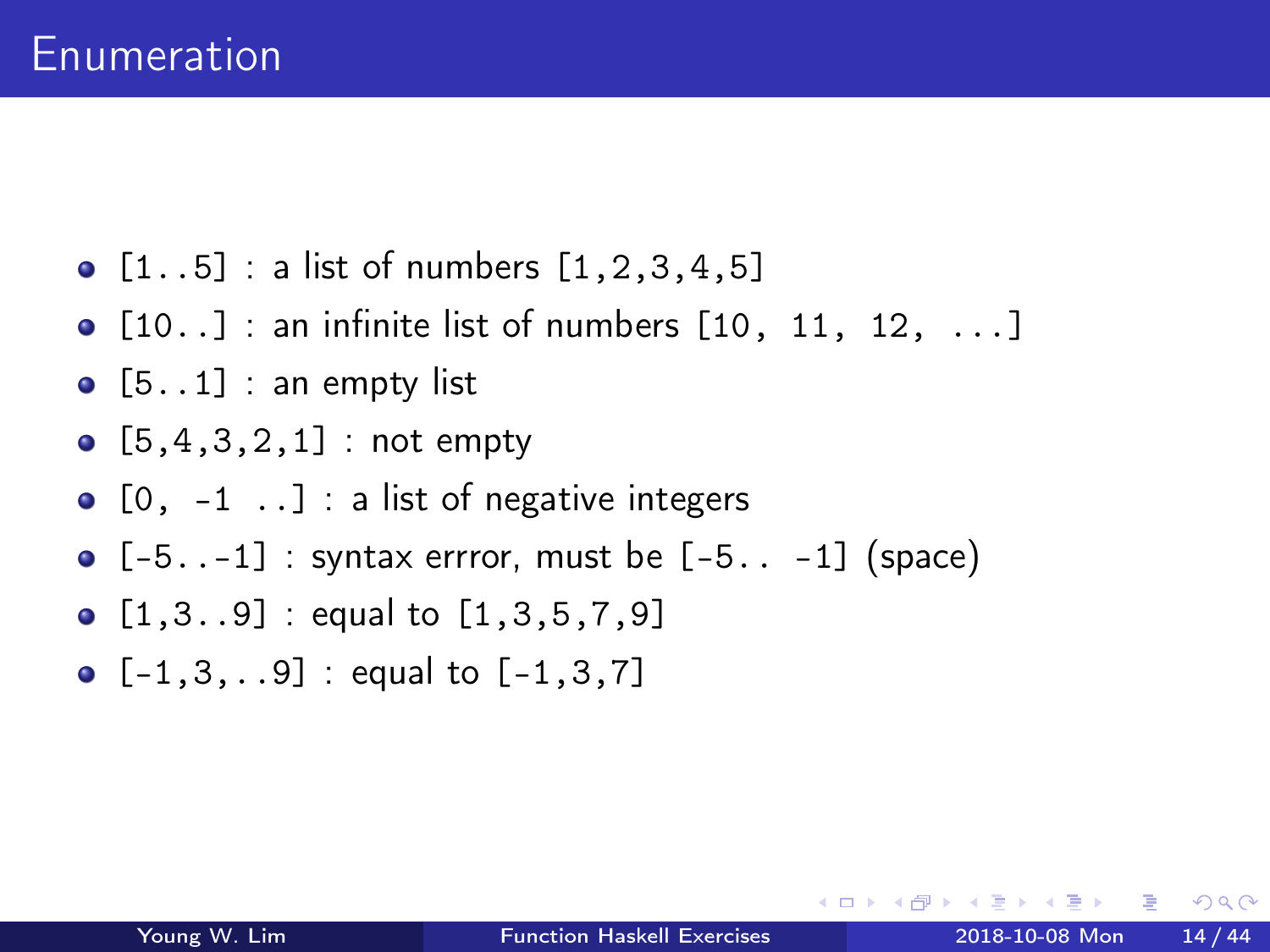- $[1..5]$  : a list of numbers  $[1,2,3,4,5]$
- $\bullet$  [10..] : an infinite list of numbers [10, 11, 12, ...]
- $\bullet$  [5..1] : an empty list
- $[5,4,3,2,1]$  : not empty
- $\bullet$  [0, -1..] : a list of negative integers
- $\bullet$   $[-5..-1]$  : syntax errror, must be  $[-5..-1]$  (space)
- $[1,3..9]$  : equal to  $[1,3,5,7,9]$
- $[-1,3,..9]$  : equal to  $[-1,3,7]$

 $\Omega$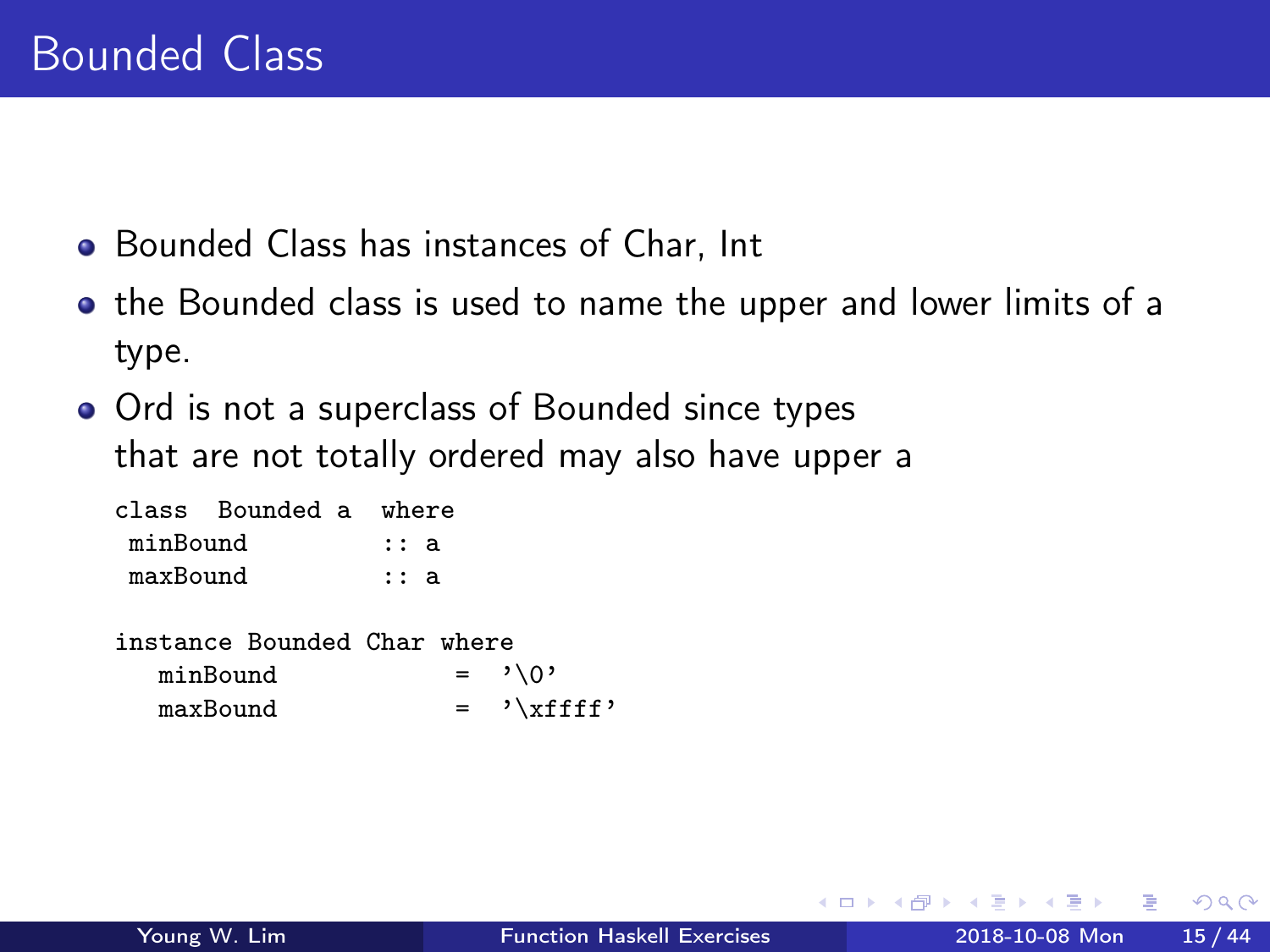- Bounded Class has instances of Char, Int
- the Bounded class is used to name the upper and lower limits of a type.
- Ord is not a superclass of Bounded since types that are not totally ordered may also have upper a

|          | class Bounded a where |            |  |
|----------|-----------------------|------------|--|
| minBound |                       | : a        |  |
| maxBound |                       | $\cdots$ a |  |

| instance Bounded Char where |  |                    |
|-----------------------------|--|--------------------|
| minBound                    |  | $=$ $, \lor \circ$ |
| maxBound                    |  | $=$ '\xffff'       |

 $\Omega$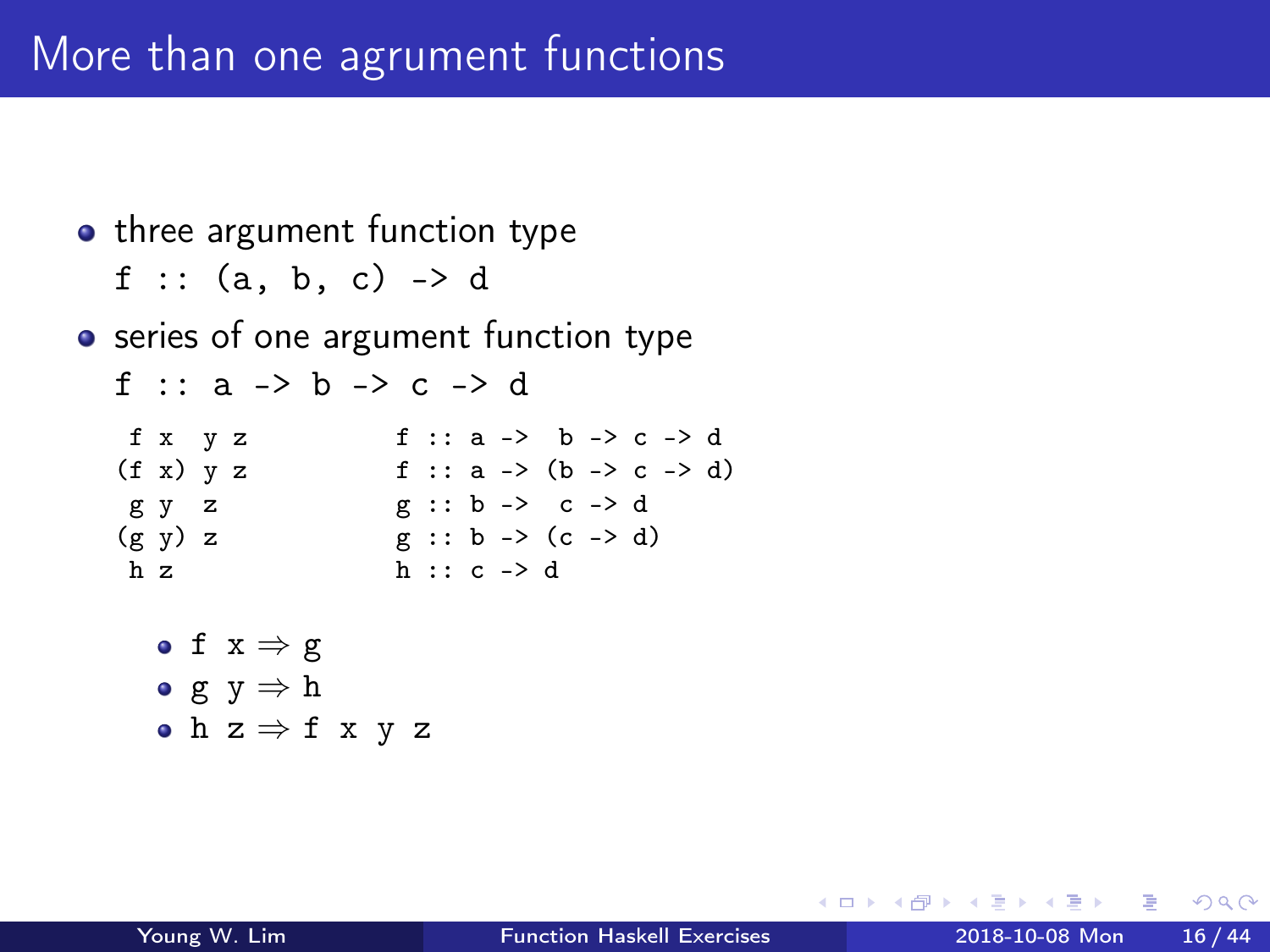```
• three argument function type
   f :: (a, b, c) -> d
• series of one argument function type
   f :: a \rightarrow b \rightarrow c \rightarrow df x y z f :: a -> b -> c -> d
   (f x) y z f :: a -> (b -> c -> d)
    g y z g :: b -> c -> d
   (g \ y) \ z \qquad \qquad g \ :: \ b \ \rightarrow \ (c \ \rightarrow d)<br>
h \ ? \qquad \qquad h \ \cdots \ c \ \rightarrow dh \cdot c \rightarrow d• f x \Rightarrow g• g y \Rightarrow h
      • h z \Rightarrow f x y z
```
 $\leftarrow$   $\leftarrow$   $\leftarrow$   $\leftarrow$ 

 $\equiv$   $\Omega$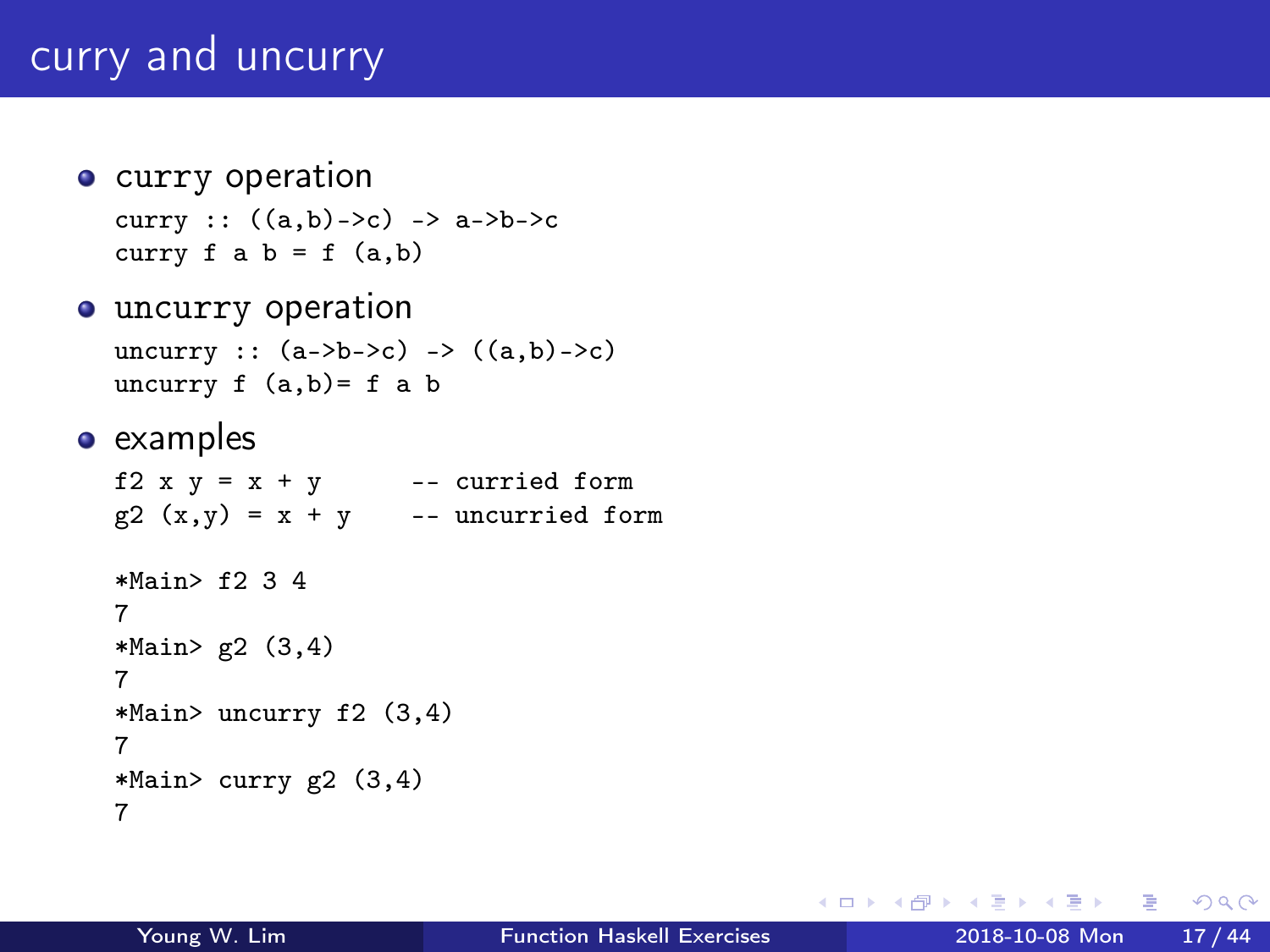# curry and uncurry

- **o** curry operation curry ::  $((a,b)-c) \rightarrow a-\b-a$ curry  $f$  a  $b = f$   $(a, b)$
- **•** uncurry operation uncurry ::  $(a->b->c) -> ((a,b)\to c)$ uncurry  $f (a,b)= f a b$
- examples

```
f2 x y = x + y -- curried form
g2(x,y) = x + y -- uncurried form
*Main> f2 3 4
7
*Main> g2 (3,4)
7
*Main> uncurry f2 (3,4)
7
*Main> curry g2 (3,4)
7
```
 $=$   $\Omega$ 

イロト イ押ト イヨト イヨト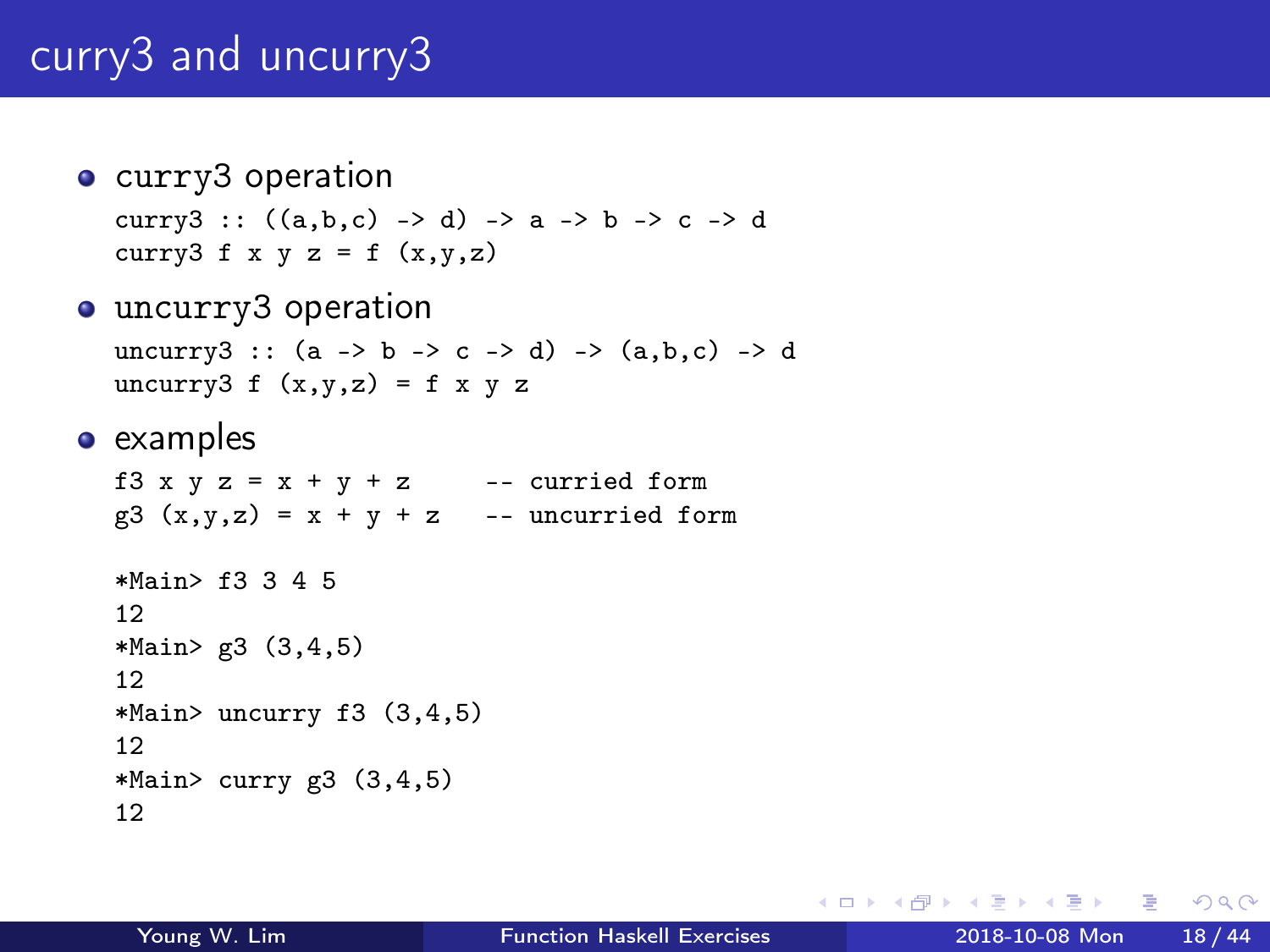# curry3 and uncurry3

- curry3 operation curry3 ::  $((a,b,c) \rightarrow d) \rightarrow a \rightarrow b \rightarrow c \rightarrow d$ curry3 f x y z = f  $(x,y,z)$
- uncurry3 operation uncurry3 ::  $(a \rightarrow b \rightarrow c \rightarrow d) \rightarrow (a,b,c) \rightarrow d$ uncurry3 f  $(x,y,z) = f x y z$
- examples

f3 x y z = x + y + z -- curried form  $g3(x,y,z) = x + y + z$  -- uncurried form

```
*Main> f3 3 4 5
12
*Main> g3 (3,4,5)
12
*Main> uncurry f3 (3,4,5)
12
*Main > curry g3 (3,4,5)12
```
イロト イ押ト イヨト イヨト

 $\equiv$   $\cap$   $\alpha$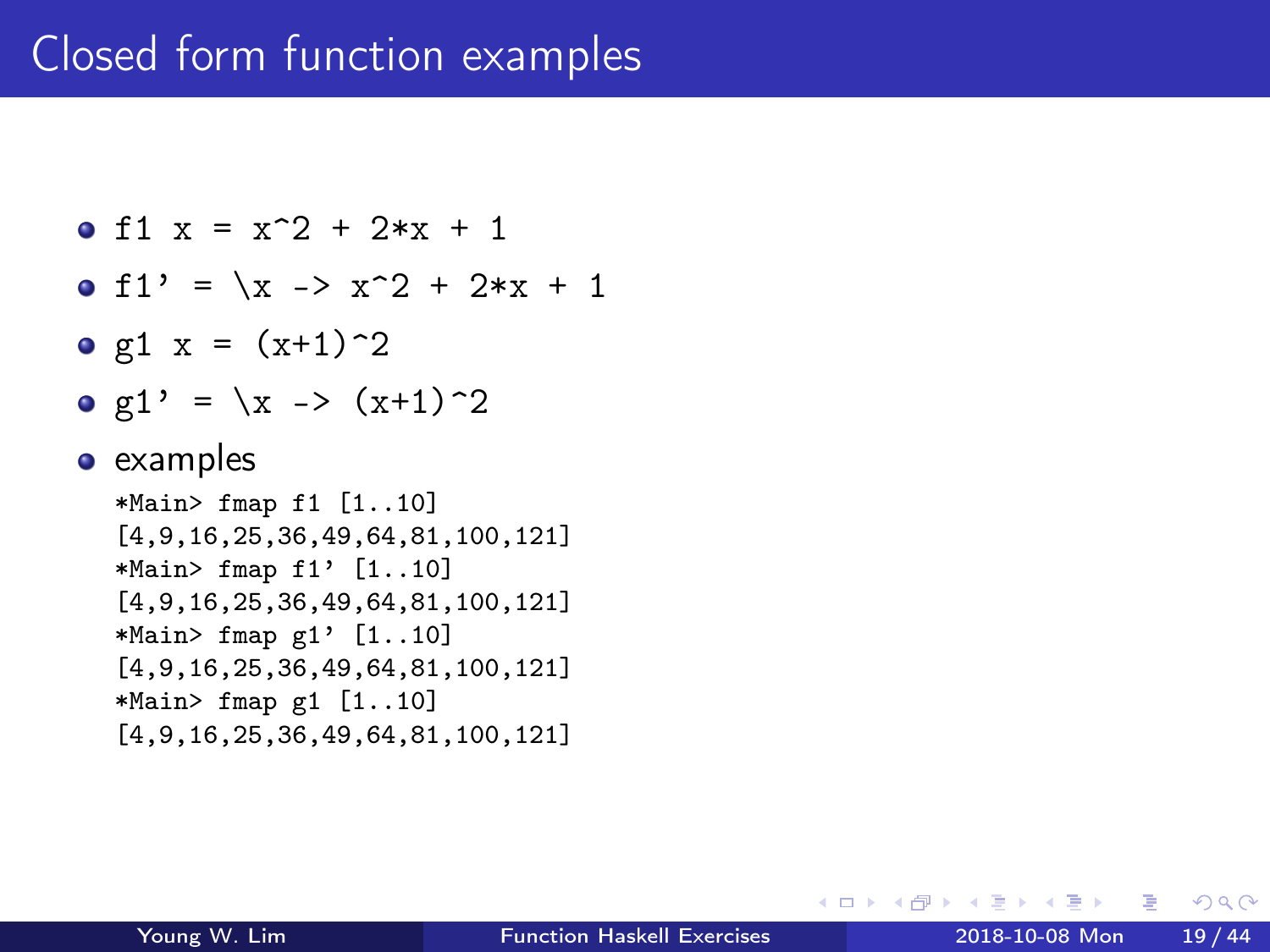## Closed form function examples

• f1 
$$
x = x^2 + 2*x + 1
$$

$$
\bullet
$$
 f1' =  $\{x \rightarrow x^2 + 2*x + 1\}$ 

- g1  $x = (x+1)^2$
- $g1' = \{x \rightarrow (x+1)^2\}$

#### • examples

\*Main> fmap f1 [1..10] [4,9,16,25,36,49,64,81,100,121] \*Main> fmap f1' [1..10] [4,9,16,25,36,49,64,81,100,121] \*Main> fmap g1' [1..10] [4,9,16,25,36,49,64,81,100,121] \*Main> fmap g1 [1..10] [4,9,16,25,36,49,64,81,100,121]

4 何 ) 4

 $QQ$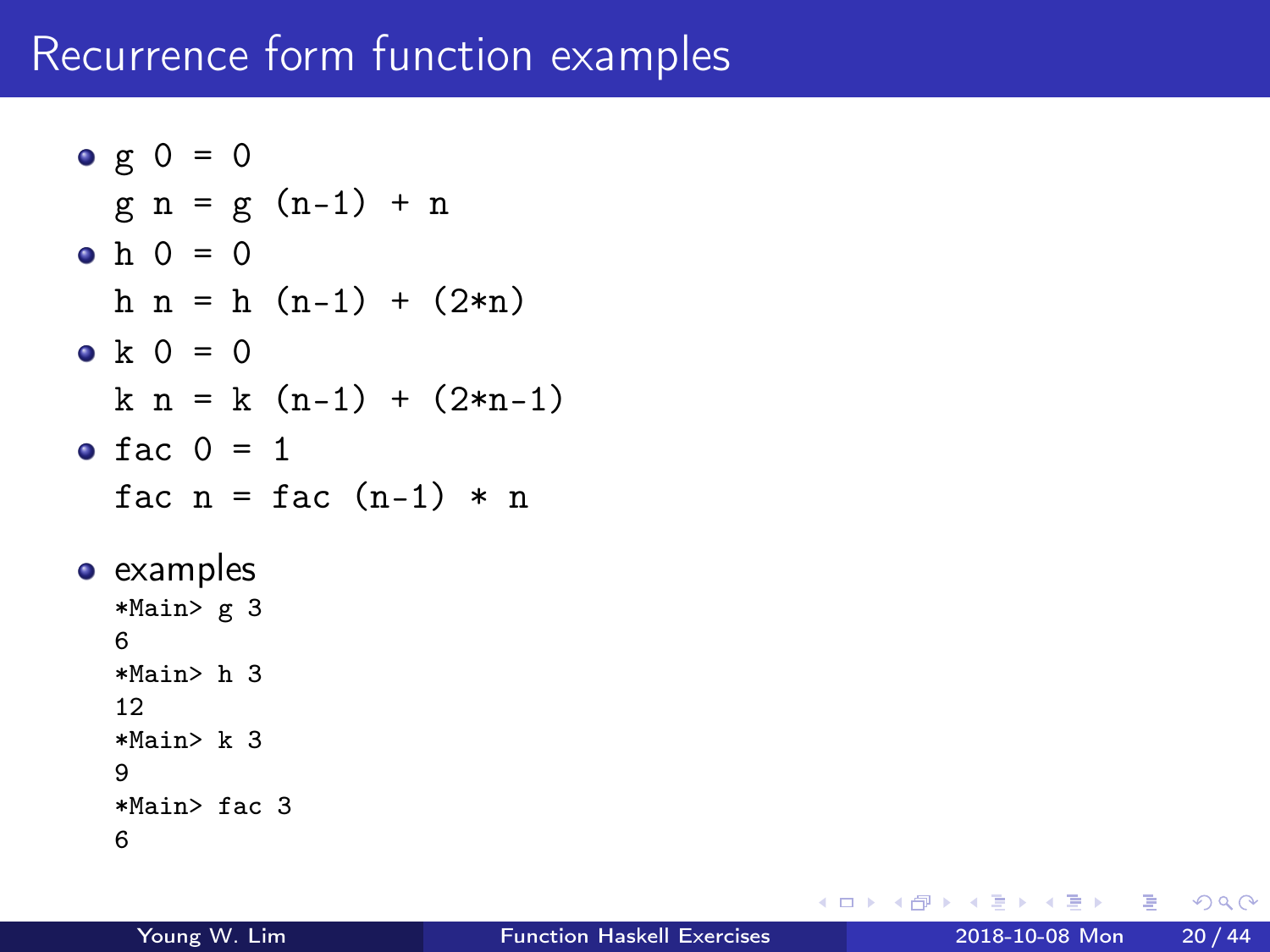### Recurrence form function examples

```
g \circ g = 0g n = g (n-1) + n• h = 0h n = h (n-1) + (2*n)• k = 0k n = k (n-1) + (2*n-1)\bullet fac 0 = 1fac n = fac (n-1) * n• examples
  *Main> g 3
 6
  *Main> h 3
  12
  *Main> k 3
  9
  *Main> fac 3
 6
```
G.  $\Omega$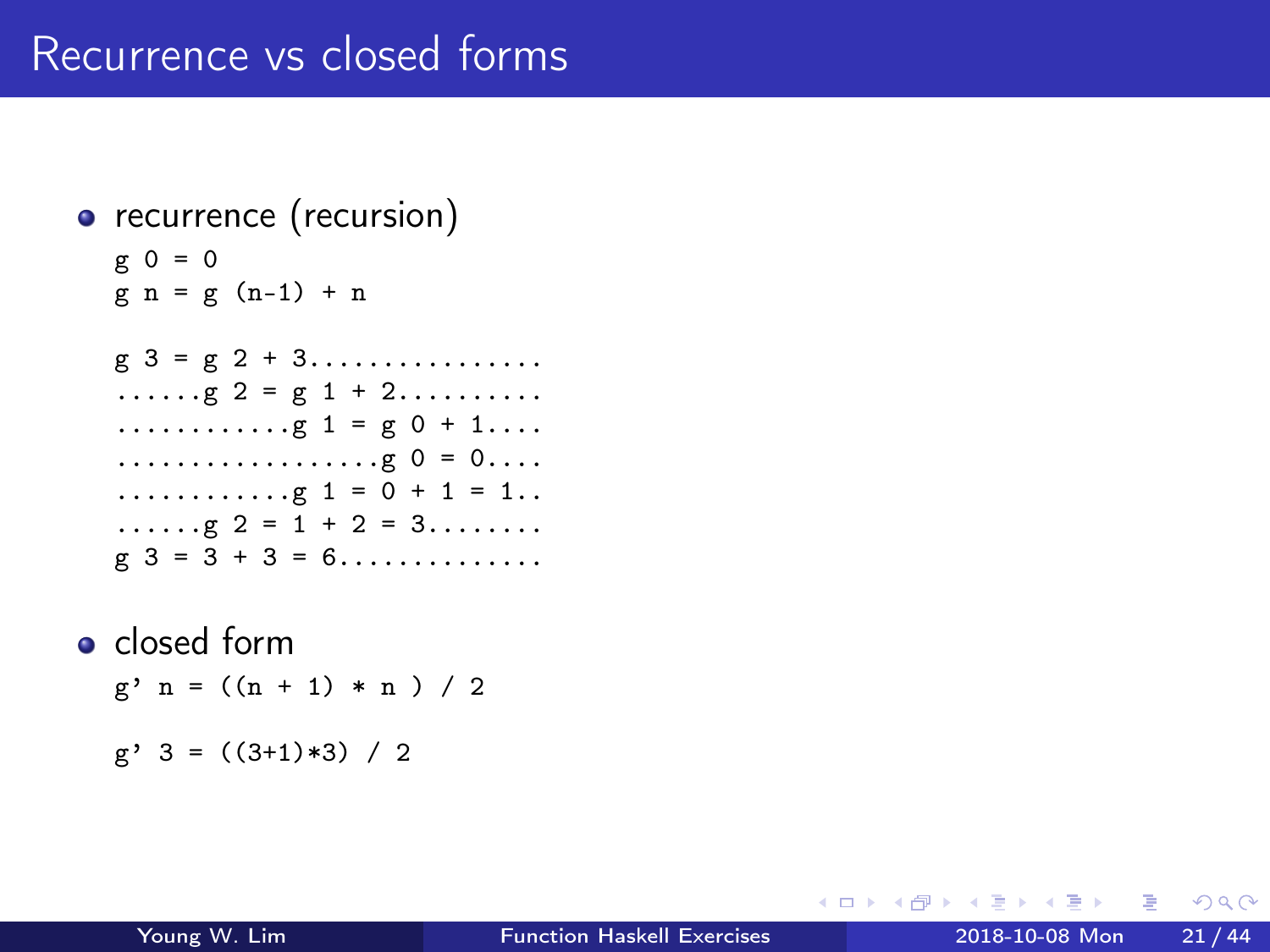### Recurrence vs closed forms

### • recurrence (recursion)  $g = 0$  $g n = g (n-1) + n$  $g \ 3 = g \ 2 + 3 \dots \dots \dots \dots \dots$  $\ldots$ g 2 = g 1 + 2... $\ldots$ ... ............g 1 = g 0 + 1.... ..................g 0 = 0.... ............g 1 = 0 + 1 = 1..  $\ldots$ g 2 = 1 + 2 = 3.......  $g 3 = 3 + 3 = 6 \dots \dots \dots \dots \dots$ • closed form  $g'$  n =  $((n + 1) * n) / 2$  $g'$  3 =  $((3+1)*3) / 2$

÷

 $QQ$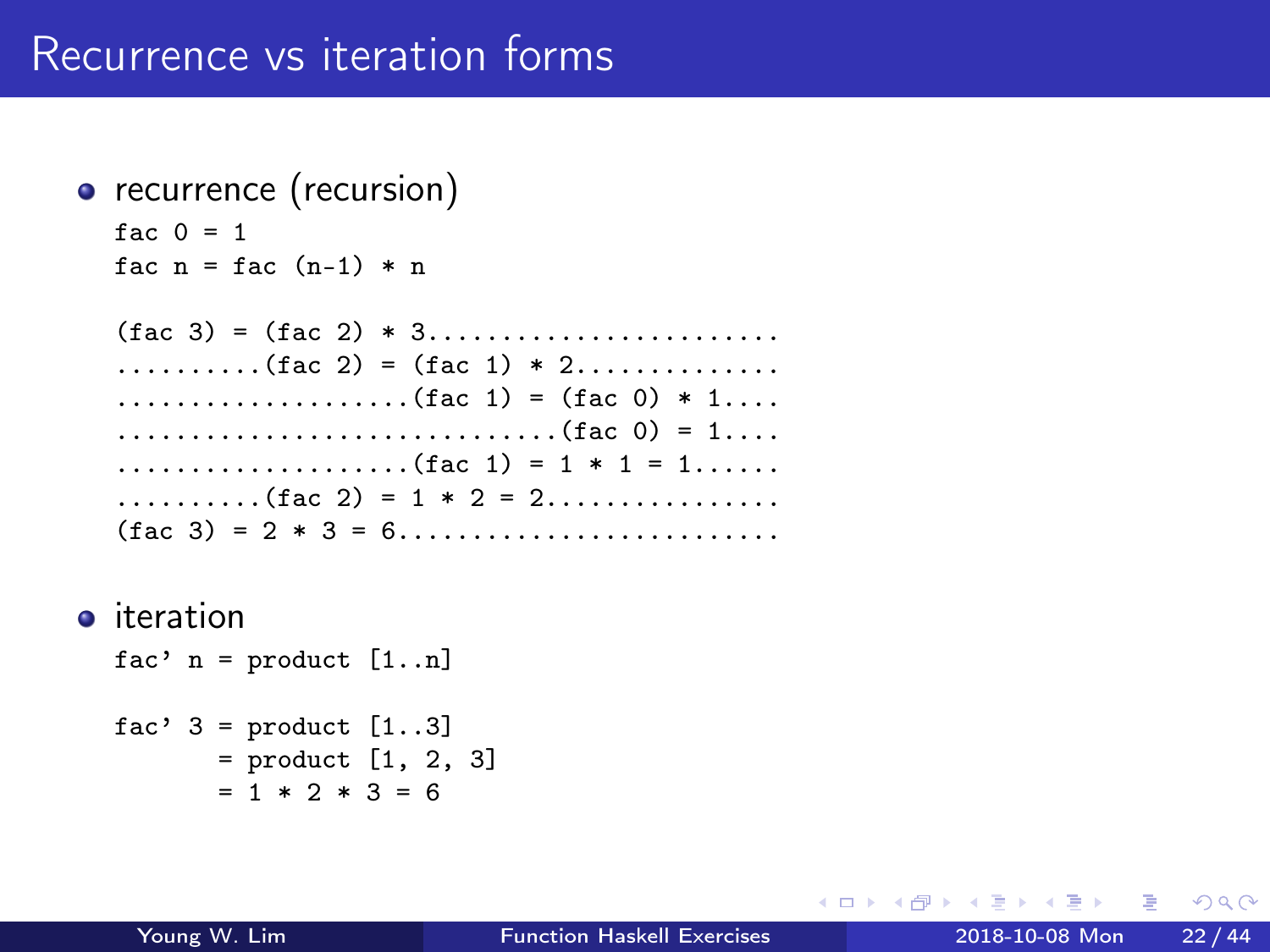```
• recurrence (recursion)
```

```
fac 0 = 1fac n = fac (n-1) * n
```
 $(fac 3) = (fac 2) * 3...$ .....................  $\ldots \ldots \ldots ($  fac 2) = (fac 1) \* 2............... ....................(fac 1) = (fac 0) \* 1.... ..............................(fac 0) = 1.... ....................(fac 1) = 1 \* 1 = 1......  $\ldots$ .......(fac 2) = 1 \* 2 = 2................. (fac 3) = 2 \* 3 = 6..........................

**o** iteration

fac'  $n =$  product  $[1..n]$ 

```
fac' 3 = product [1..3]= product [1, 2, 3]
       = 1 * 2 * 3 = 6
```
 $\Omega$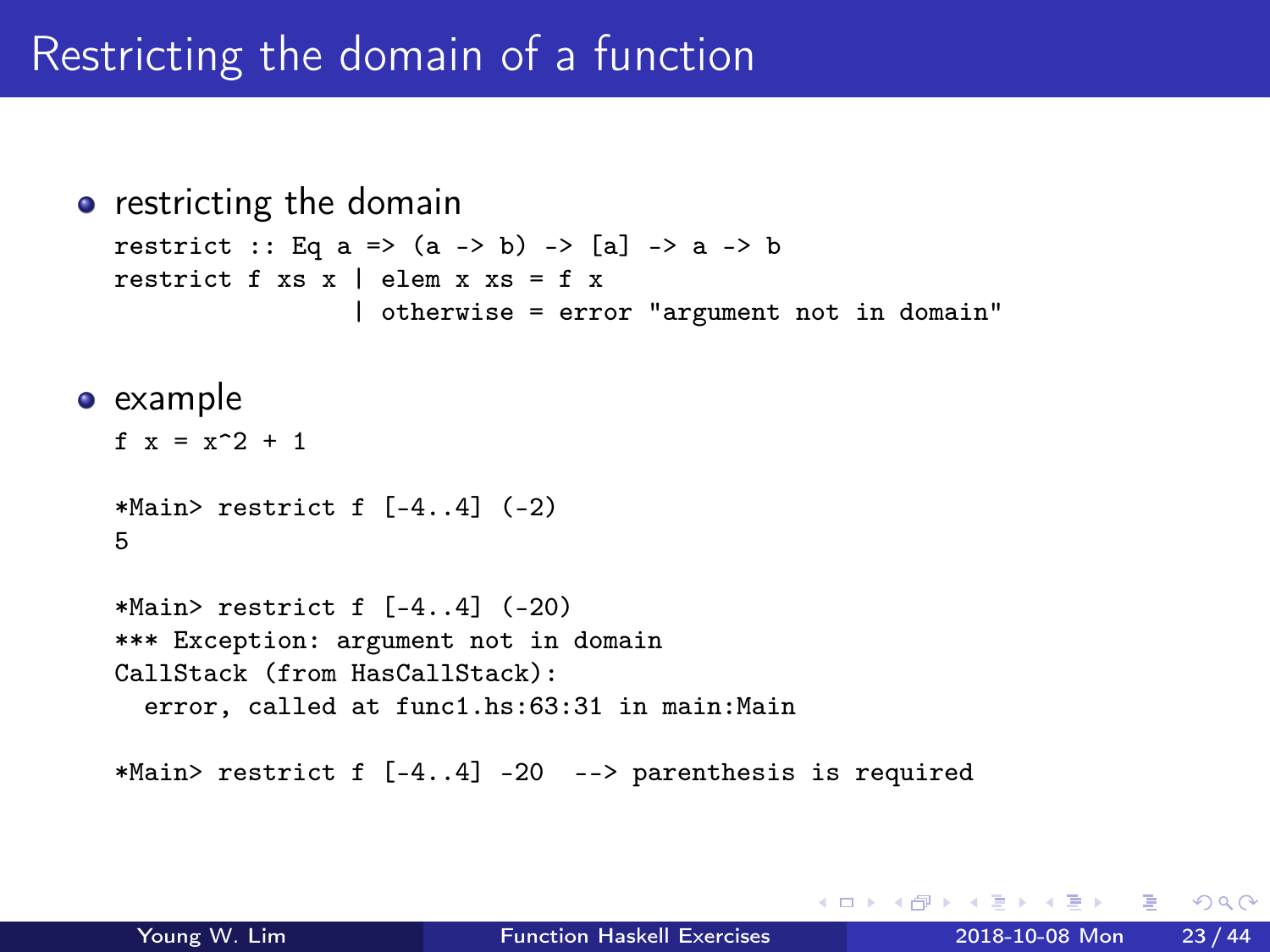## Restricting the domain of a function

```
• restricting the domain
  restrict :: Eq a => (a -> b) -> [a] -> a -> b
  restrict f xs \times l elem x \times s = f \times l| otherwise = error "argument not in domain"
• example
  f x = x^2 + 1*Main> restrict f [-4..4] (-2)
  5
  *Main> restrict f [-4..4] (-20)
  *** Exception: argument not in domain
  CallStack (from HasCallStack):
    error, called at func1.hs:63:31 in main:Main
  *Main> restrict f [-4..4] -20 --> parenthesis is required
```
 $\Omega$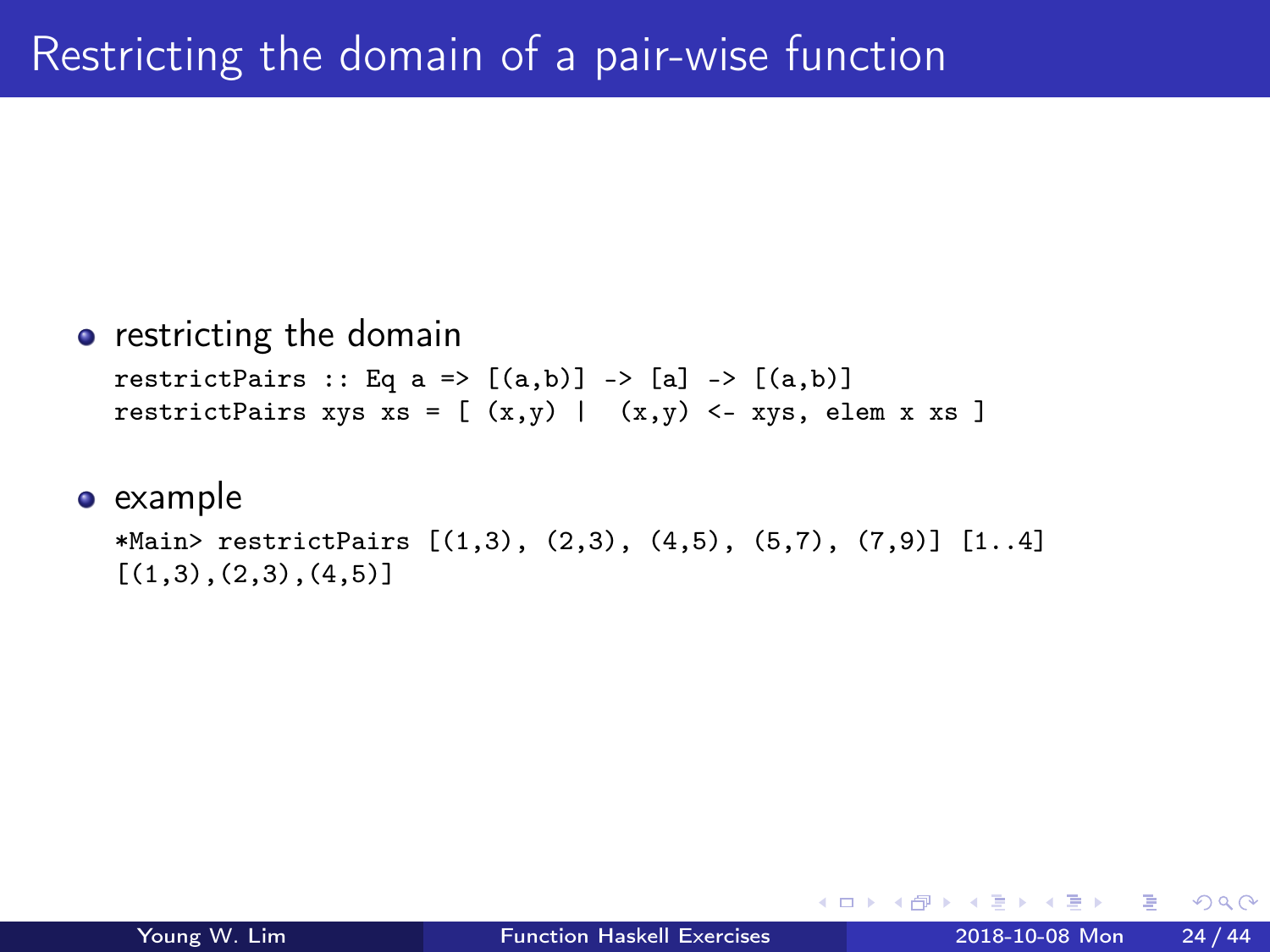#### **•** restricting the domain

restrictPairs :: Eq a =>  $[(a,b)]$  ->  $[a]$  ->  $[(a,b)]$ restrictPairs xys xs =  $[(x,y) | (x,y) < -xys,$  elem x xs ]

#### • example

```
*Main> restrictPairs [(1,3), (2,3), (4,5), (5,7), (7,9)] [1..4][(1,3), (2,3), (4,5)]
```
 $QQ$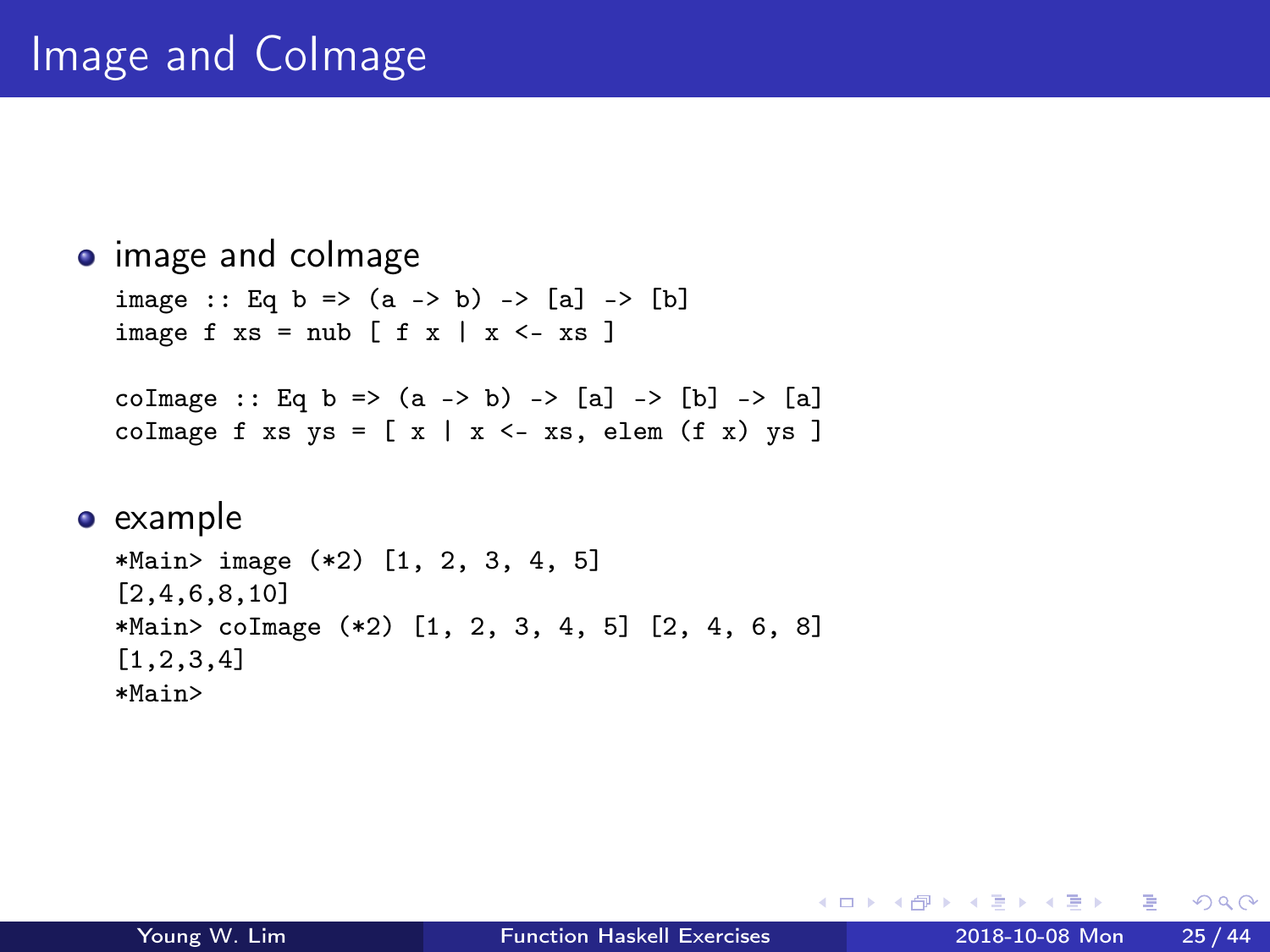# Image and CoImage

```
• image and colmage
  image :: Eq b => (a -> b) -> [a] -> [b]image f xs = nub [ f x | x \leftarrow xs ]
  coImage :: Eq b => (a -> b) -> [a] -> [b] -> [a]
  coImage f xs ys = [ x | x \leftarrow xs, elem (f x) ys ]
```

```
• example
```

```
*Main> image (*2) [1, 2, 3, 4, 5]
[2,4,6,8,10]
*Main> coImage (*2) [1, 2, 3, 4, 5] [2, 4, 6, 8]
[1,2,3,4]
*Main>
```
 $\Omega$ 

→ 何 ▶ → ヨ ▶ → ヨ

4 D F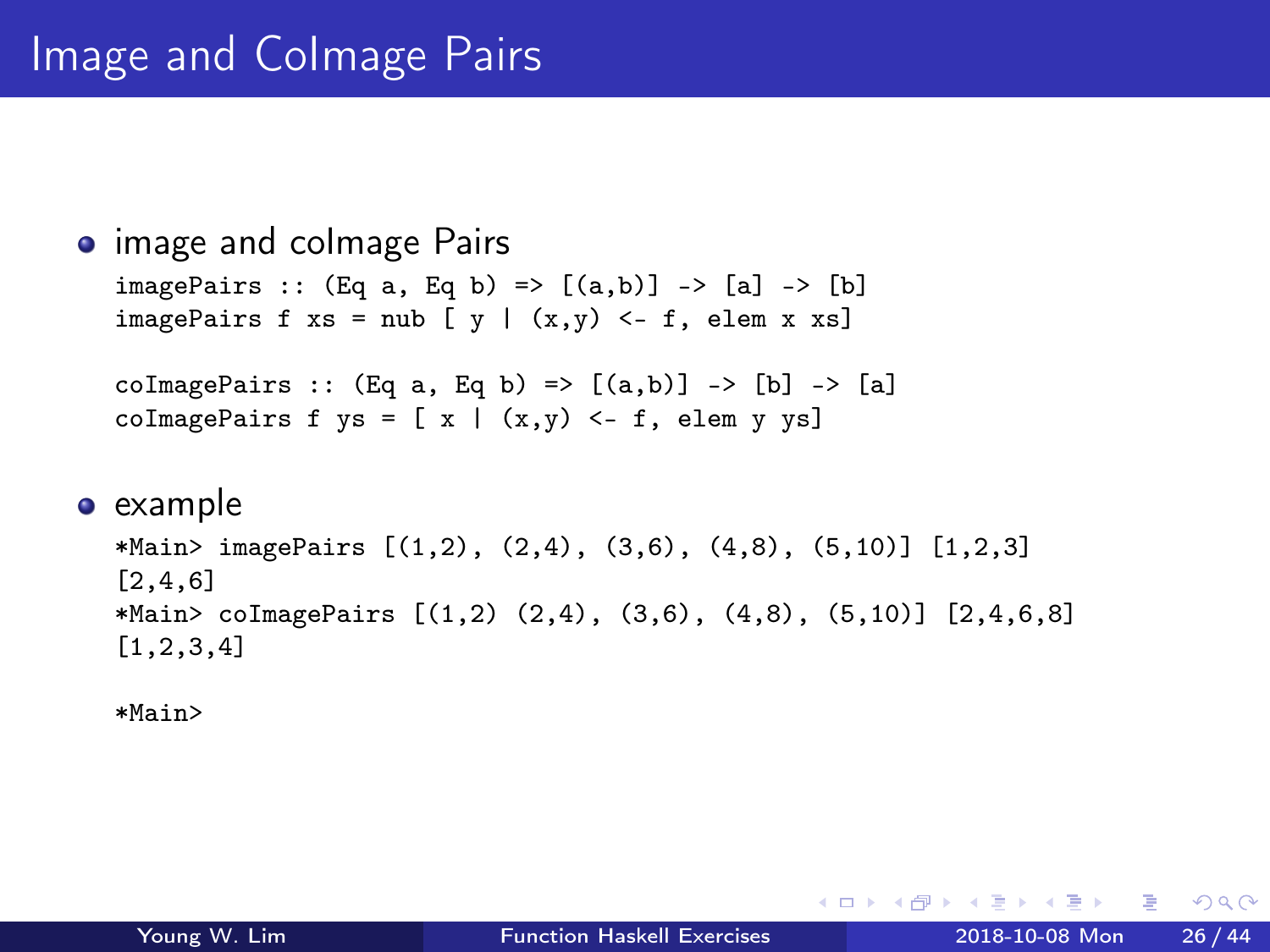```
• image and colmage Pairs
   imagePairs :: (Eq a, Eq b) \Rightarrow [(a,b)] \Rightarrow [a] \Rightarrow [b]imagePairs f xs = nub [y | (x,y) < -f, elem x xs]
   coImagePairs :: (Eq a, Eq b) \Rightarrow [(a,b)] \Rightarrow [b] \Rightarrow [a]coImagePairs f ys = [ x | (x,y) < - f, elem y ys]
```
#### $\bullet$  example

```
*Main> imagePairs [(1,2), (2,4), (3,6), (4,8), (5,10)] [1,2,3]
[2,4,6]
*Main> coImagePairs [(1,2) (2,4), (3,6), (4,8), (5,10)] [2,4,6,8][1,2,3,4]
```
\*Main>

イロト イ押ト イヨト イヨト

 $\eta$ an

G.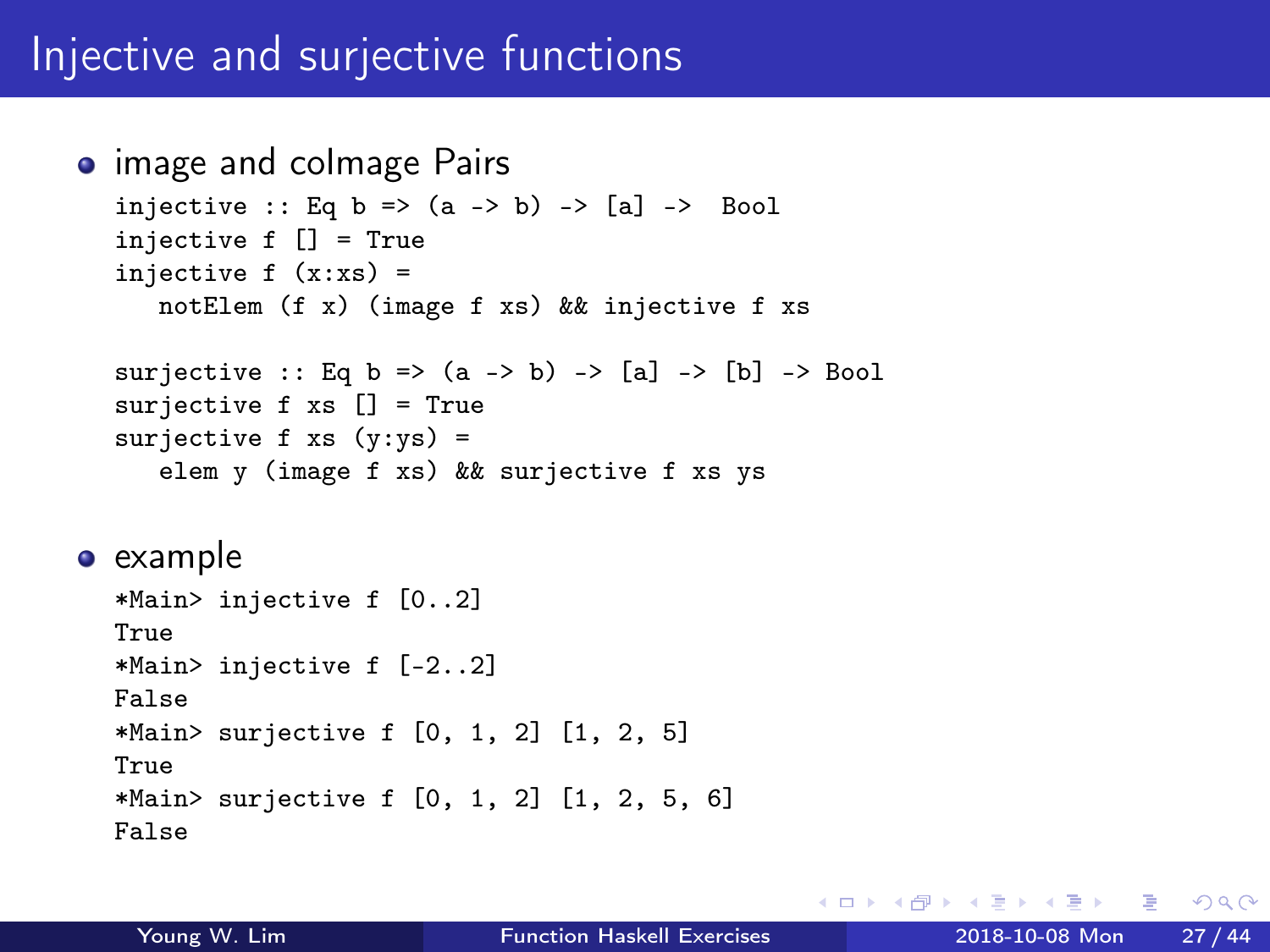### Injective and surjective functions

```
• image and colmage Pairs
  injective :: Eq b => (a \rightarrow b) -> [a] -> Bool
  injective f [] = True
  injective f(x:xs) =notElem (f x) (image f xs) && injective f xs
  surjective :: Eq b => (a -> b) -> [a] -> [b] -> Bool
  surjective f xs [] = True
  surjective f xs (y:ys) =
     elem y (image f xs) && surjective f xs ys
e example
  *Main> injective f [0..2]
  True
  *Main> injective f [-2..2]
  False
  *Main> surjective f [0, 1, 2] [1, 2, 5]
  True
  *Main> surjective f [0, 1, 2] [1, 2, 5, 6]
```
False

イロト イ押ト イヨト イヨト

 $\eta$ an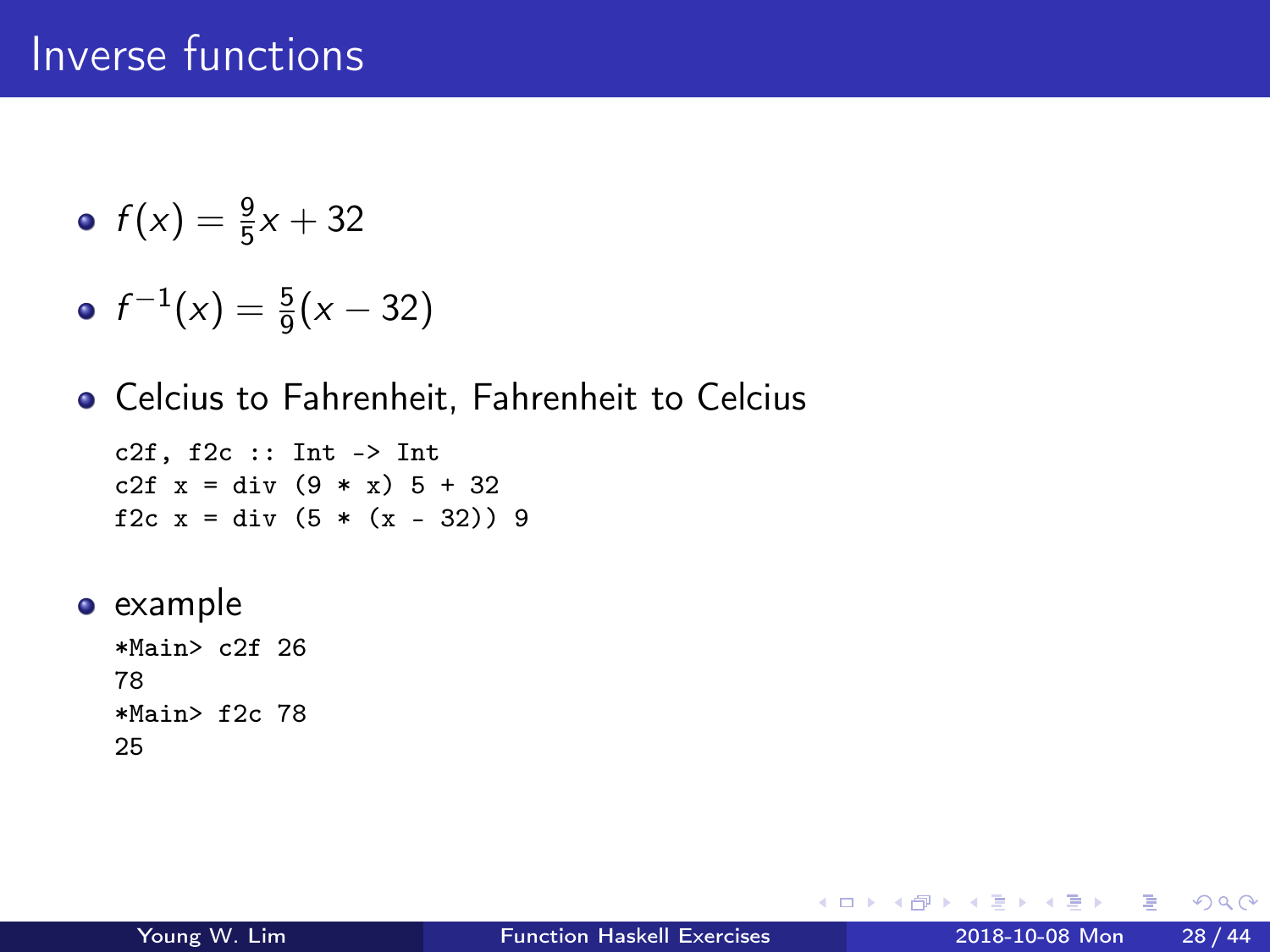### Inverse functions

$$
\bullet \ f(x) = \frac{9}{5}x + 32
$$

• 
$$
f^{-1}(x) = \frac{5}{9}(x - 32)
$$

Celcius to Fahrenheit, Fahrenheit to Celcius

c2f,  $f2c :: Int \rightarrow Int$ c2f  $x = div (9 * x) 5 + 32$ f2c  $x = div (5 * (x - 32)) 9$ 

• example \*Main> c2f 26

78 \*Main> f2c 78 25

4 D F

 $\leftarrow$   $\leftarrow$   $\leftarrow$   $\leftarrow$ 

⊞ ⊁ K

重

 $\Omega$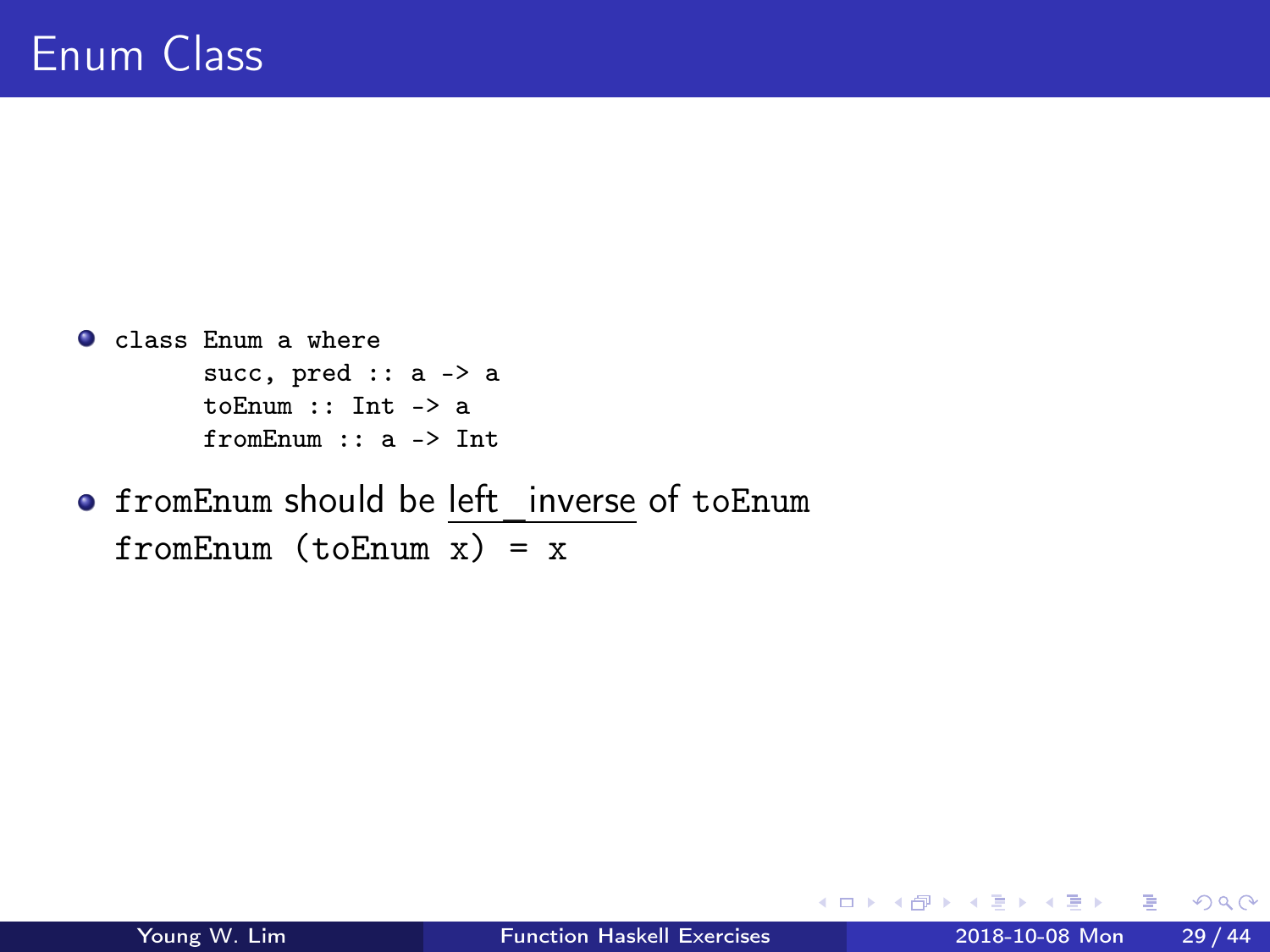- class Enum a where succ, pred :: a -> a toEnum :: Int -> a fromEnum :: a -> Int
- **•** fromEnum should be left inverse of toEnum fromEnum  $(toEnum x) = x$

G.

ヨメ メラ

 $\leftarrow$  4  $\oplus$  3  $\rightarrow$  4

4 D F

 $OQ$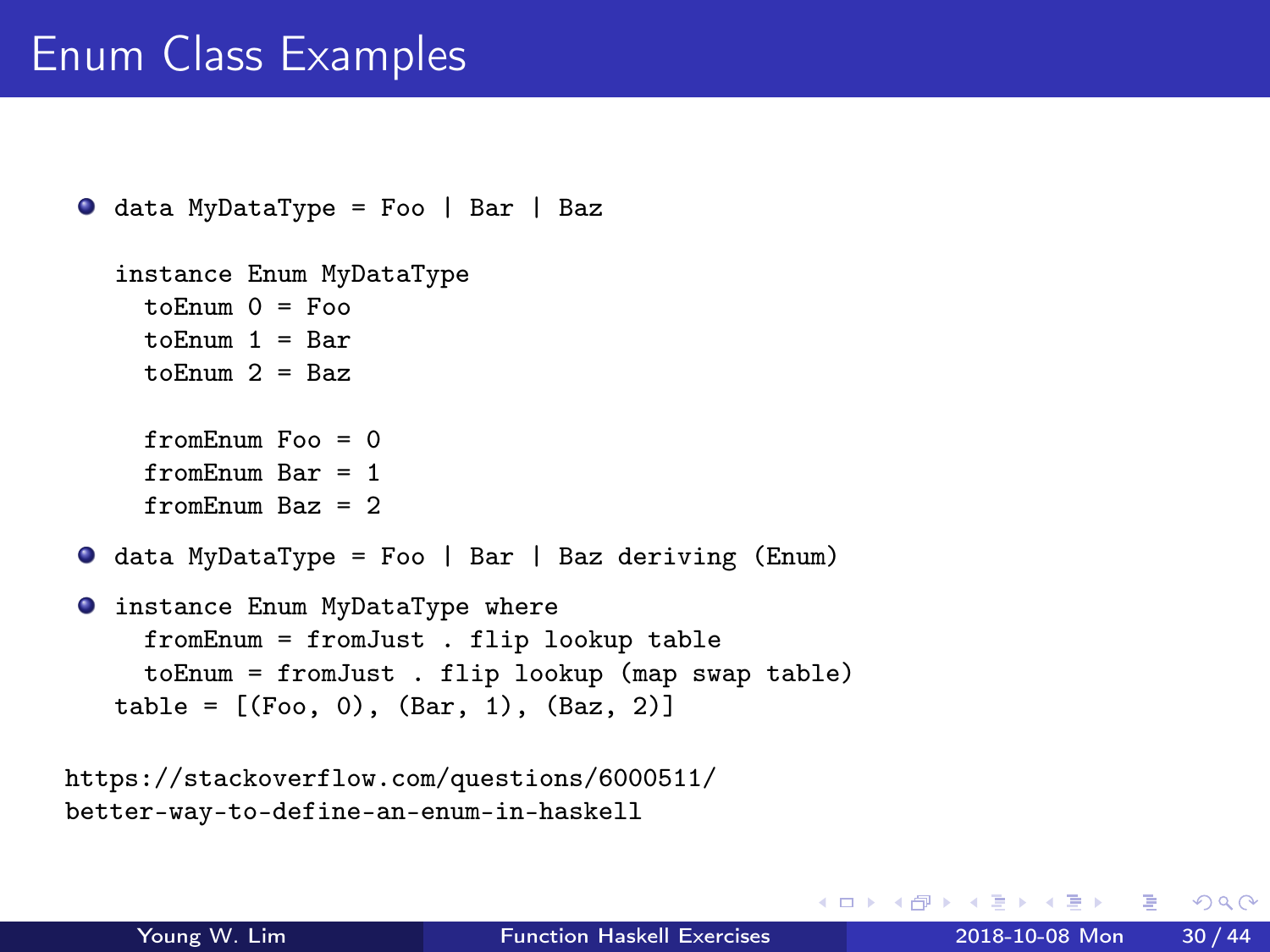## Enum Class Examples

```
\bullet data MyDataType = Foo | Bar | Baz
  instance Enum MyDataType
    to \text{Enum} 0 = \text{Foo}toEnum 1 = Bar
    toEnum 2 = Baz
    fromEnum Foo = 0
    fromEnum Bar = 1
    fromEnum Baz = 2data MyDataType = Foo | Bar | Baz deriving (Enum)
O instance Enum MyDataType where
    fromEnum = fromJust . flip lookup table
    toEnum = fromJust . flip lookup (map swap table)
  table = [(Foo, 0), (Bar, 1), (Baz, 2)]
```

```
https://stackoverflow.com/questions/6000511/
better-way-to-define-an-enum-in-haskell
```
スタース ミドス ミドリ ミ

4 **D** F

 $\eta$ are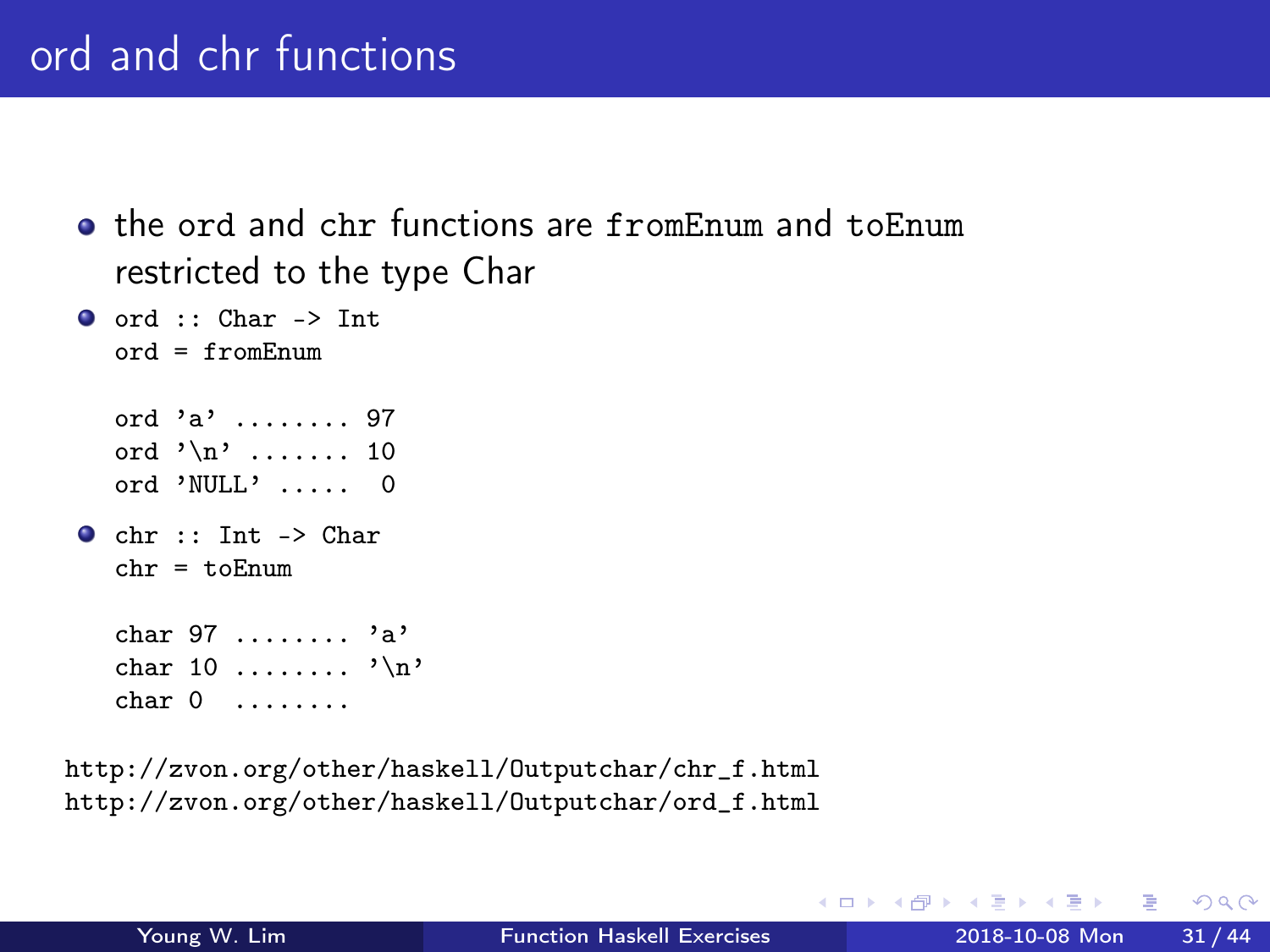- **The ord and chr functions are fromEnum and toEnum** restricted to the type Char
- $\bullet$  ord :: Char -> Int  $ord = fromEnum$ ord 'a' ........ 97 ord  $'\n$ , ....... 10 ord 'NULL' ..... 0  $\bullet$  chr :: Int -> Char  $chr = t \circ F$ num char 97 ........ 'a' char 10 ........ '\n' char 0 ........

http://zvon.org/other/haskell/Outputchar/chr\_f.html http://zvon.org/other/haskell/Outputchar/ord\_f.html

 $QQ$ 

÷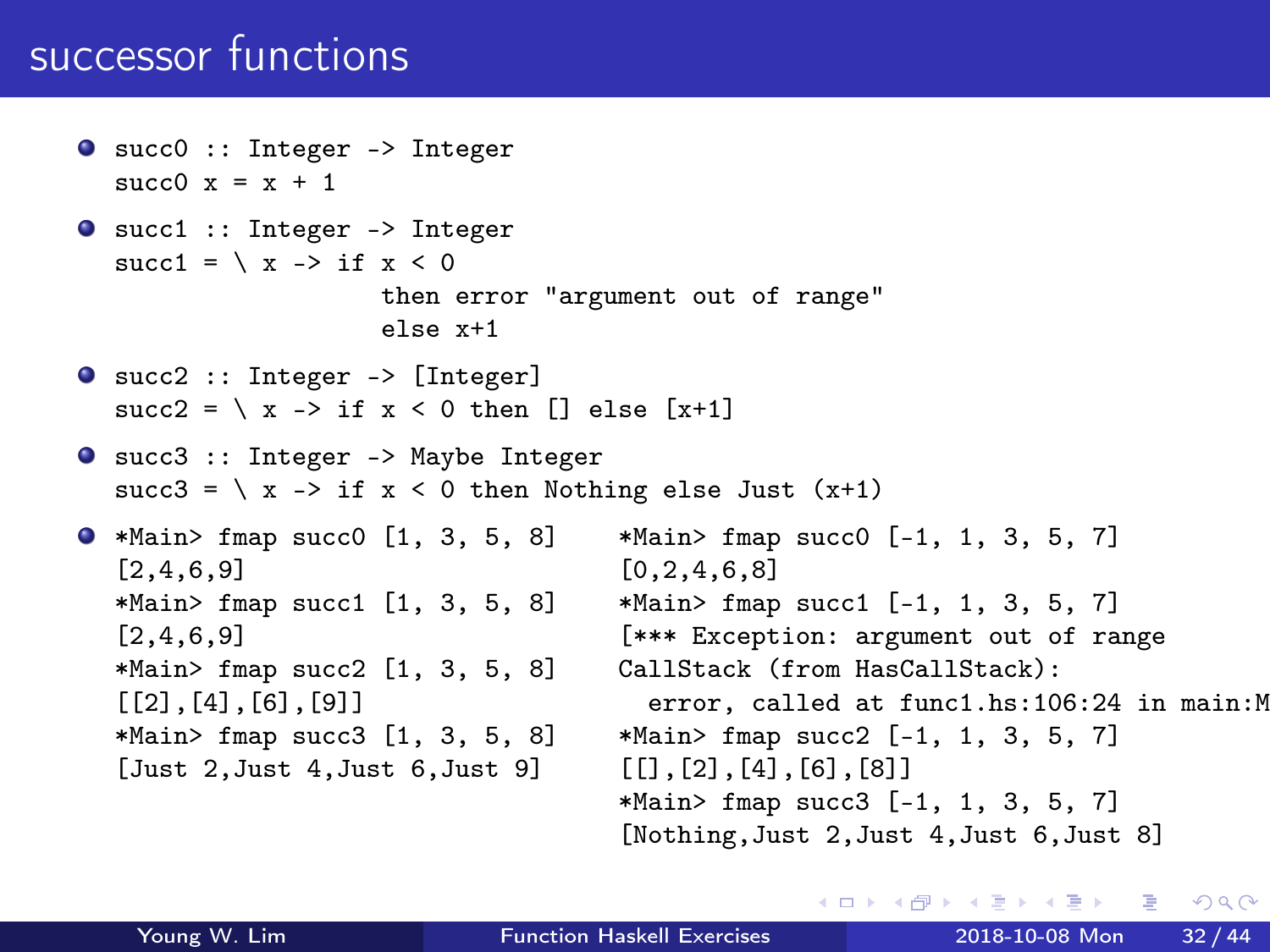### successor functions

```
succ0 :: Integer -> Integer
  succ0 x = x + 1succ1 :: Integer -> Integer
  succ1 = \ x \rightarrow if \ x < 0then error "argument out of range"
                    else x+1
succ2 :: Integer -> [Integer]
  succ2 = \langle x \rangle -> if x \le 0 then \lceil x \rceil else \lceil x + 1 \rceilsucc3 :: Integer -> Maybe Integer
  succ3 = \langle x \rangle if x < 0 then Nothing else Just (x+1)\bullet *Main> fmap succ0 [1, 3, 5, 8] *Main> fmap succ0 [-1, 1, 3, 5, 7]
  [2,4,6,9] [0,2,4,6,8]*Main> fmap succ1 [1, 3, 5, 8] *Main> fmap succ1 [-1, 1, 3, 5, 7][2,4,6,9] [*** Exception: argument out of range
  *Main> fmap succ2 [1, 3, 5, 8] CallStack (from HasCallStack):
  [2], [4], [6], [9]<br>*Main> fmap succ3 [1, 3, 5, 8] *Main> fmap succ2 [-1, 1, 3, 5, 7]
                                     *Main > fmap succ2 [-1, 1, 3, 5, 7][Just 2,Just 4,Just 6,Just 9] [[],[2],[4],[6],[8]]
                                     *Main> fmap succ3 [-1, 1, 3, 5, 7]
                                     [Nothing,Just 2,Just 4,Just 6,Just 8]
```
イロト イ何 トイヨ トイヨ トーヨー

 $-990$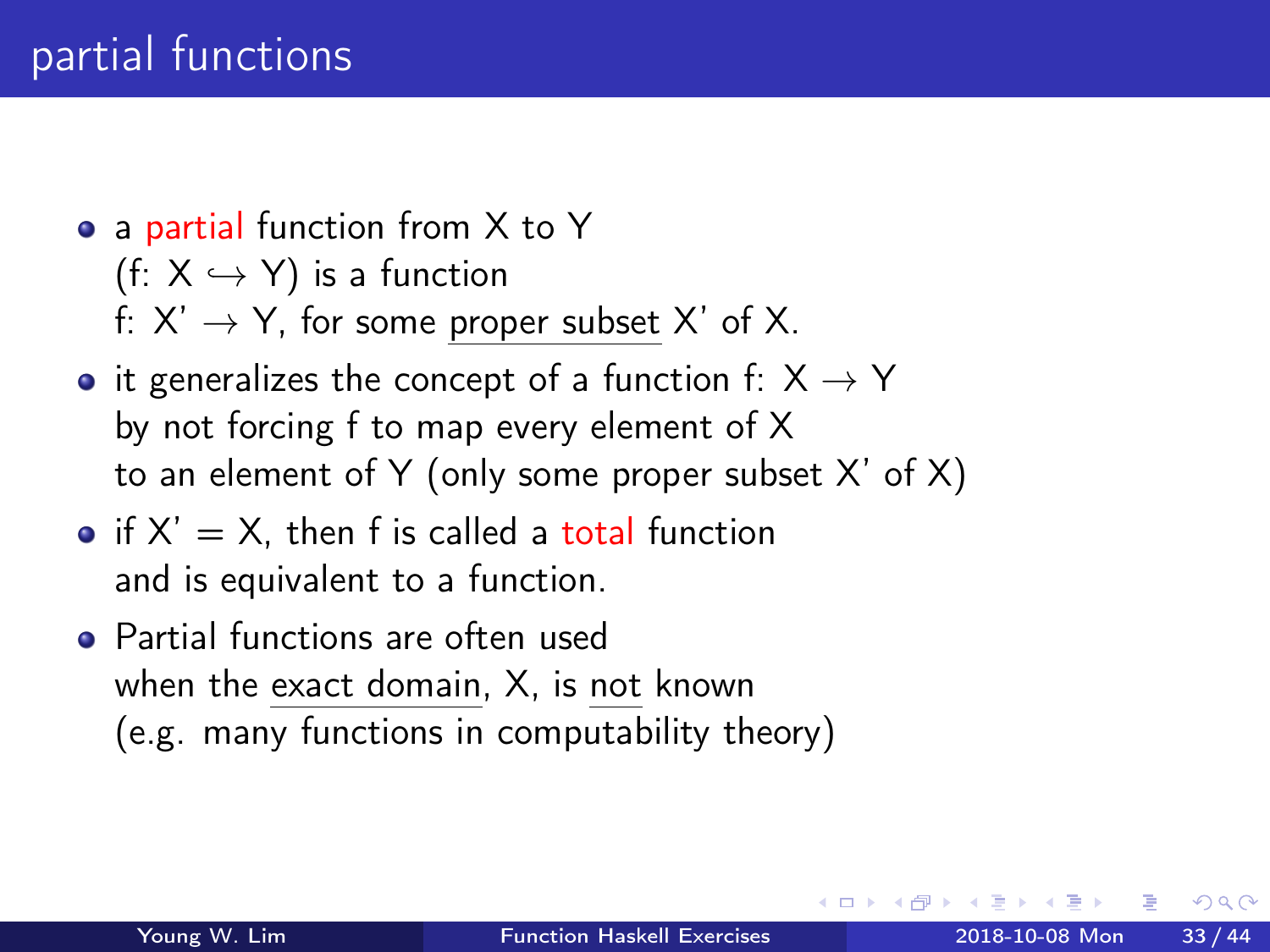- a partial function from X to Y (f:  $X \hookrightarrow Y$ ) is a function f:  $X' \rightarrow Y$ , for some proper subset X' of X.
- it generalizes the concept of a function f:  $X \rightarrow Y$ by not forcing f to map every element of X to an element of Y (only some proper subset X' of X)
- $\bullet$  if  $X' = X$ , then f is called a total function and is equivalent to a function.
- Partial functions are often used when the exact domain, X, is not known (e.g. many functions in computability theory)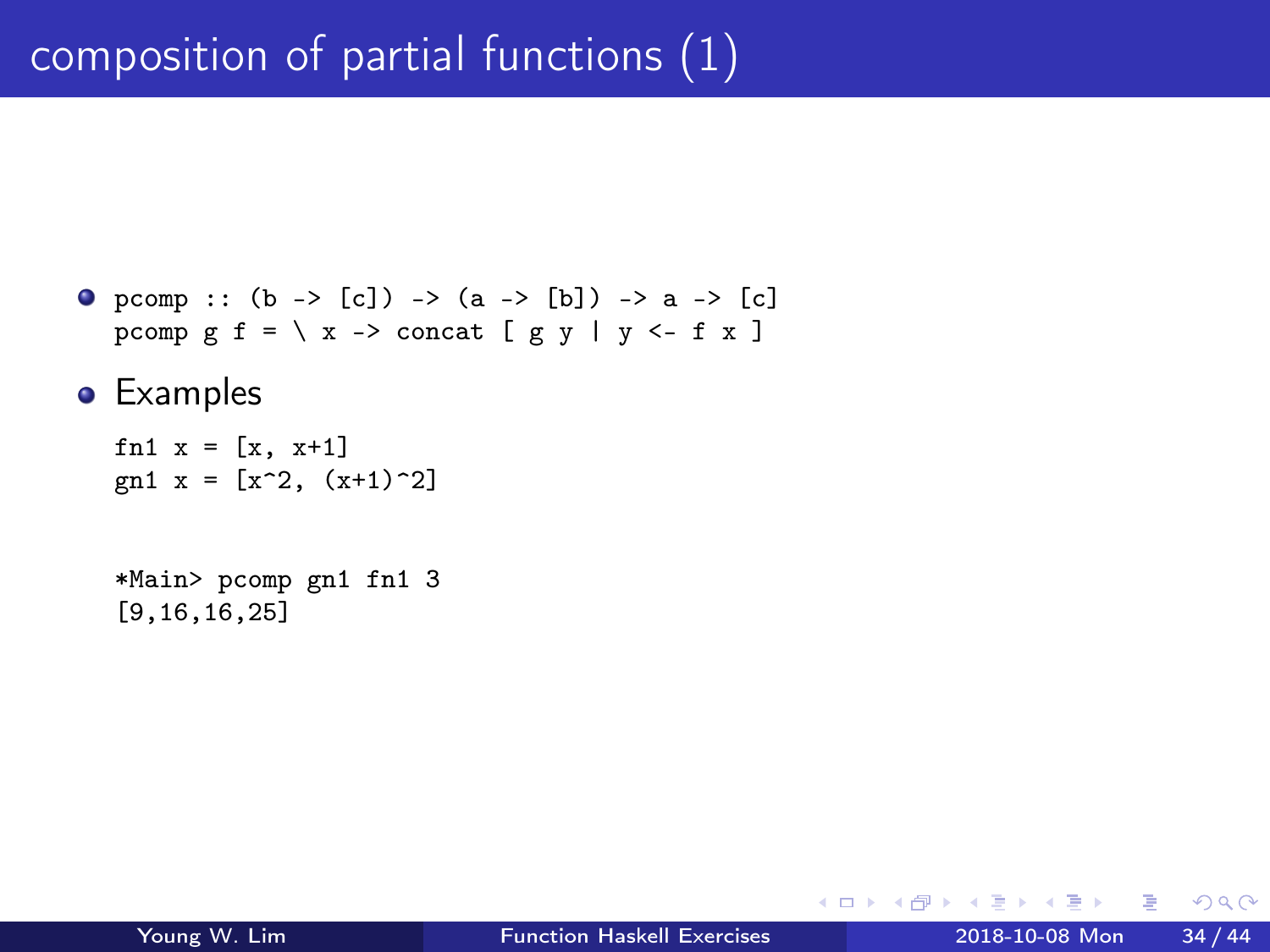```
• pcomp :: (b \rightarrow [c]) \rightarrow (a \rightarrow [b]) \rightarrow a \rightarrow [c]pcomp g f = \ X \rightarrow \text{concat} [ g y | y \leftarrow f x ]
```
**•** Examples

```
fn1 x = [x, x+1]gn1 x = [x^2, (x+1)^2]
```
\*Main> pcomp gn1 fn1 3 [9,16,16,25]

4 D F

 $\leftarrow$   $\leftarrow$   $\leftarrow$   $\leftarrow$ 

÷

The South St

 $\eta$ an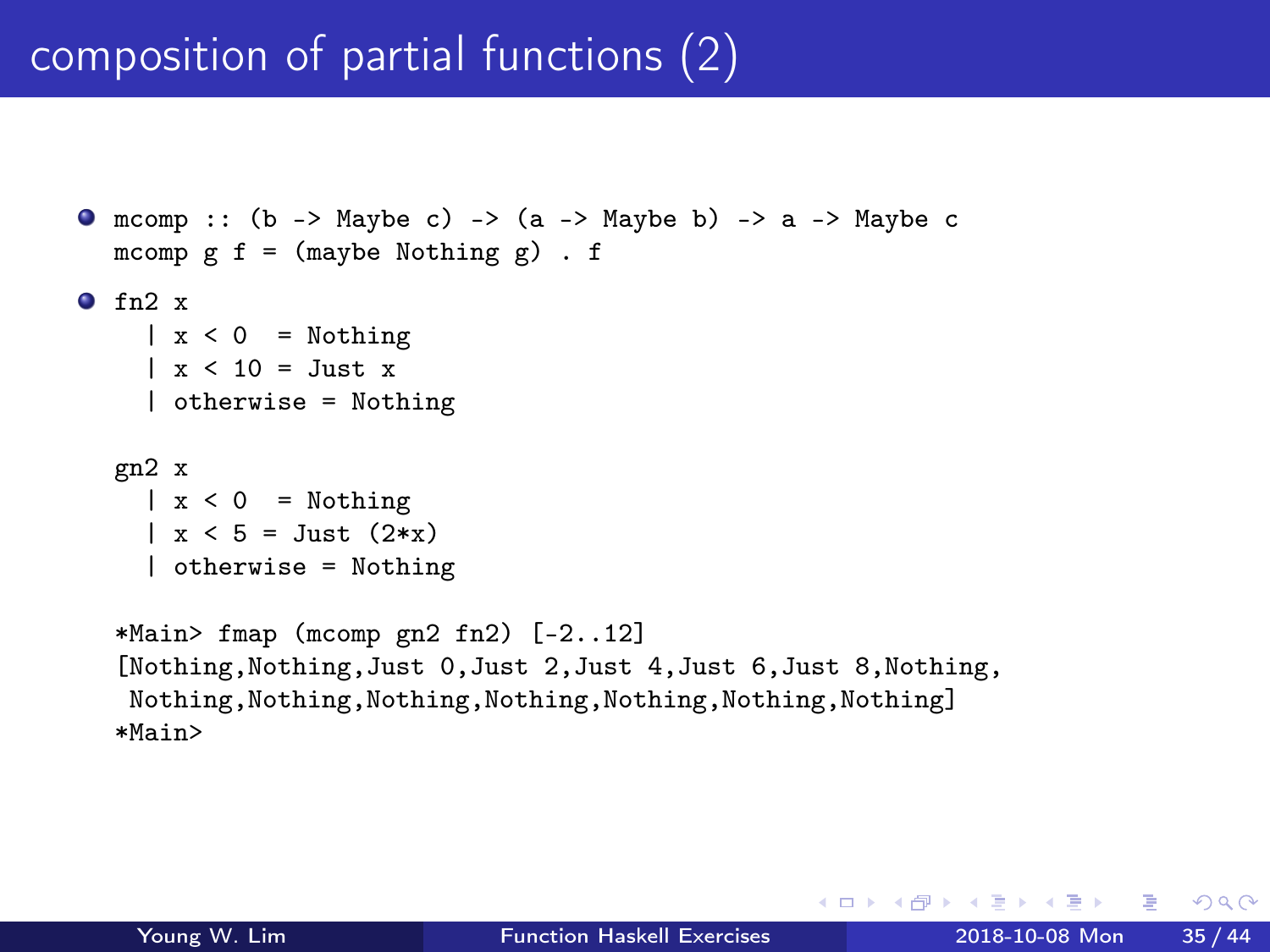# composition of partial functions (2)

```
O mcomp :: (b \rightarrow \text{Maybe c}) \rightarrow (a \rightarrow \text{Maybe b}) \rightarrow a \rightarrow \text{Maybe c})mcomp g f = (m \alpha y) . f
f_{n2} x
     |x < 0 = Nothing
     \vert x \vert < 10 = Just x
     | otherwise = Nothing
  gn2 x
    |x < 0 = Nothing
     \vert x \vert < 5 = Just (2 \ast x)| otherwise = Nothing
   *Main> fmap (mcomp gn2 fn2) [-2..12]
   [Nothing,Nothing,Just 0,Just 2,Just 4,Just 6,Just 8,Nothing,
    Nothing,Nothing,Nothing,Nothing,Nothing,Nothing,Nothing]
   *Main>
```
**KORKA ERKER I AGA**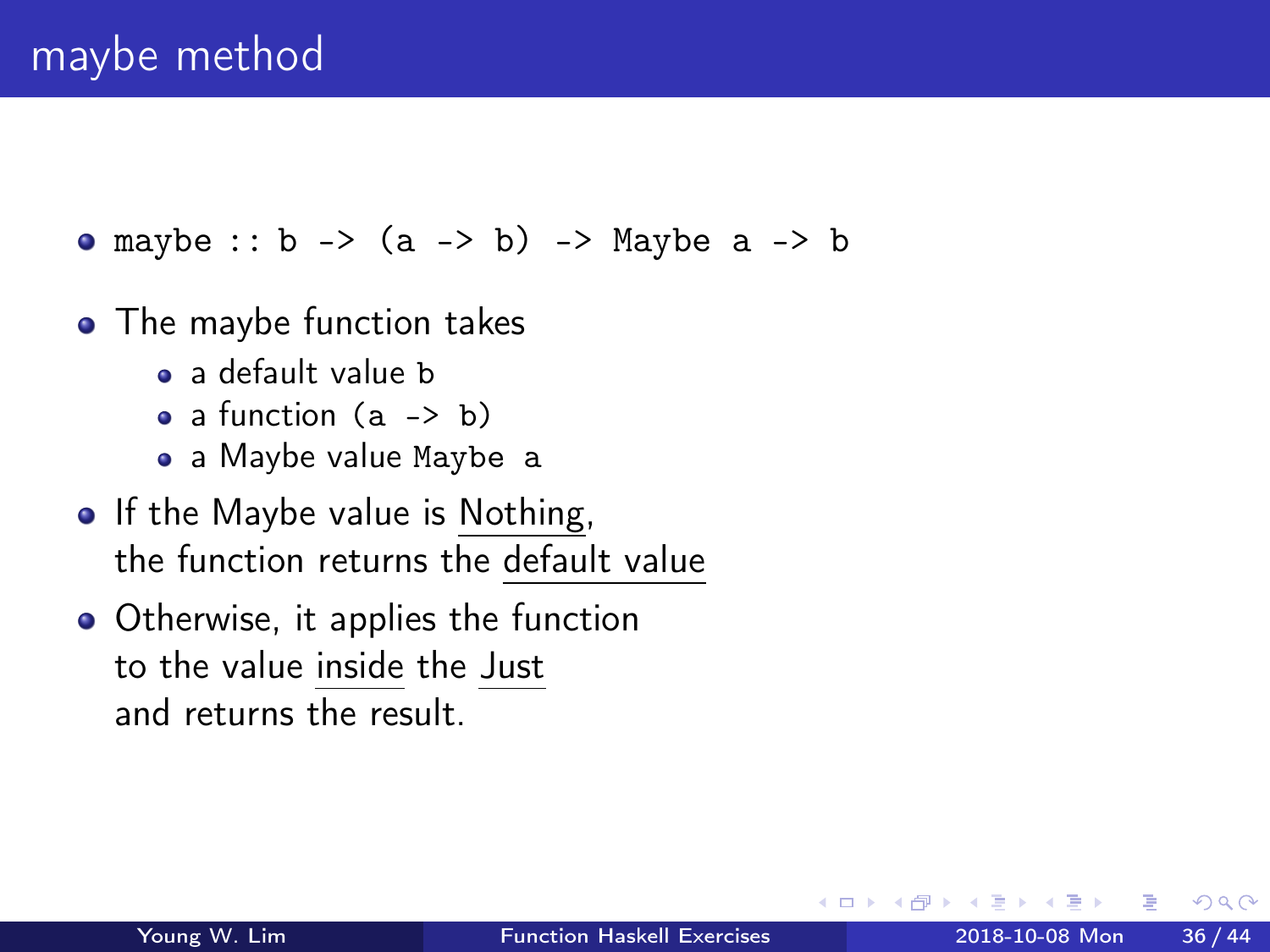• maybe ::  $b \rightarrow (a \rightarrow b) \rightarrow$  Maybe  $a \rightarrow b$ 

- The maybe function takes
	- a default value b
	- $\bullet$  a function  $(a \rightarrow b)$
	- a Maybe value Maybe a
- If the Maybe value is Nothing, the function returns the default value
- Otherwise, it applies the function to the value inside the Just and returns the result.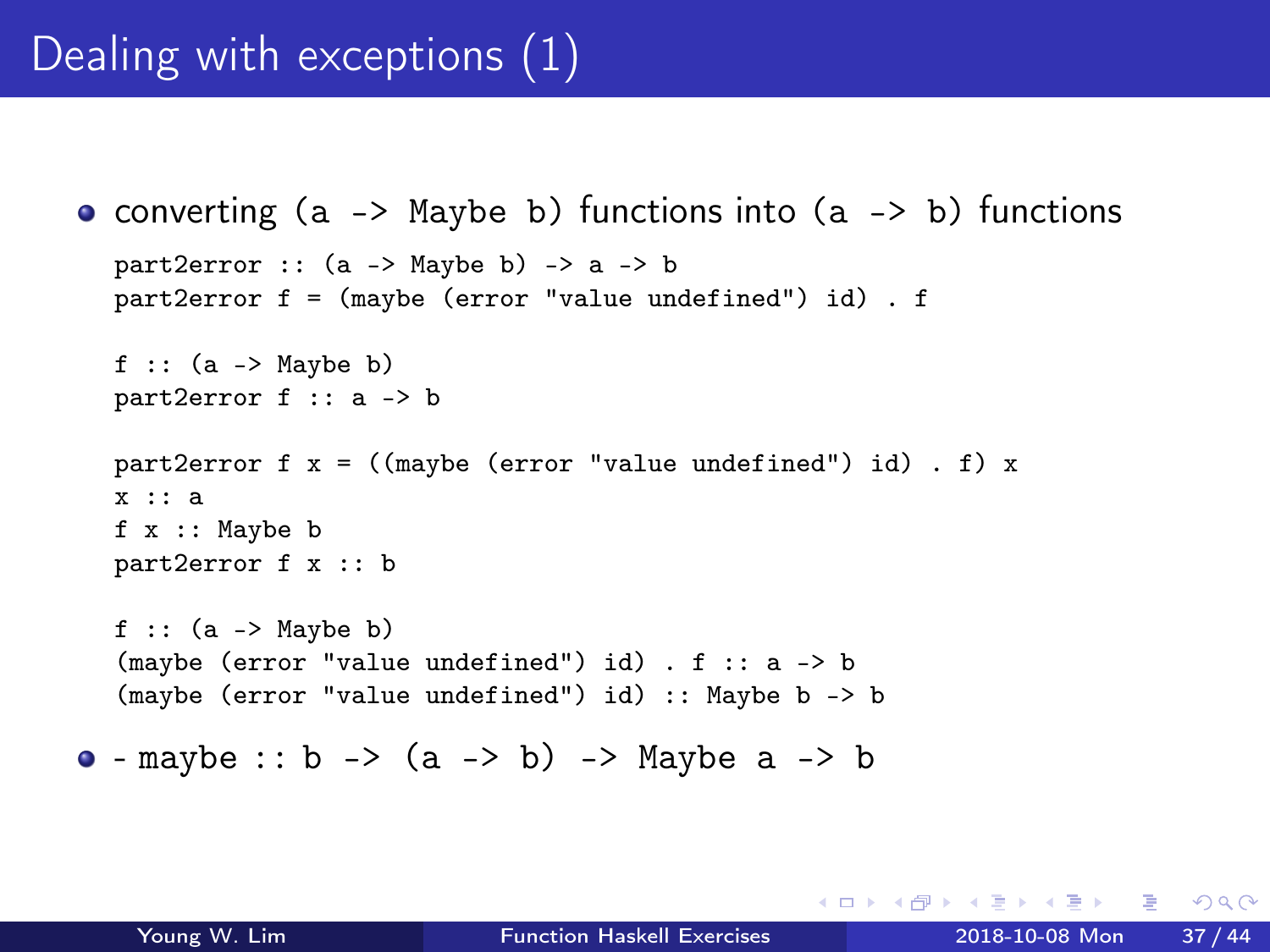# Dealing with exceptions (1)

```
converting (a -> Maybe b) functions into (a -> b) functions
  part2error :: (a \rightarrow \text{Mavbe } b) \rightarrow a \rightarrow bpart2error f = (maybe (error "value undefined") id) . f
  f :: (a \rightarrow Maybe b)
  part2error f :: a -> b
  part2error f x = ((maybe (error "value undefined") id) . f) xx :: a
  f x :: Maybe b
  part2error f x :: b
  f :: (a \rightarrow Maybe b)
  (maybe (error "value undefined") id) . f :: a -> b
  (maybe (error "value undefined") id) :: Maybe b -> b
• - maybe :: b -> (a - b) -> Maybe a \rightarrow b
```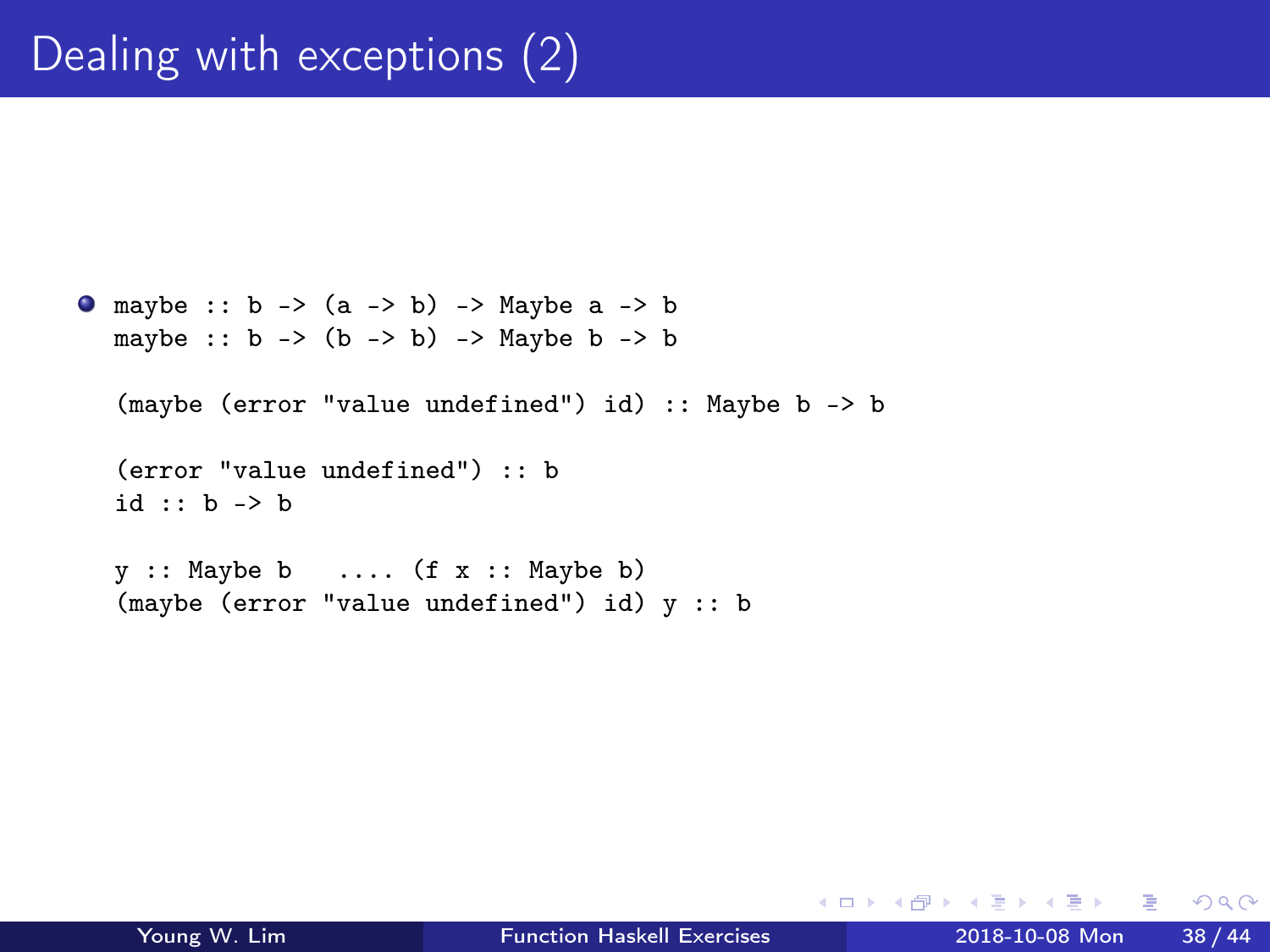```
\bullet maybe :: b -> (a -> b) -> Maybe a -> b
   maybe :: b \rightarrow (b \rightarrow b) \rightarrow Maybe b \rightarrow b
```

```
(maybe (error "value undefined") id) :: Maybe b -> b
```

```
(error "value undefined") :: b
id :: b -> b
```
 $y$  :: Maybe b .... (f  $x$  :: Maybe b) (maybe (error "value undefined") id) y :: b

 $\sqrt{m}$   $\rightarrow$   $\sqrt{m}$   $\rightarrow$   $\sqrt{m}$ 

4 D F

 $E = \Omega Q$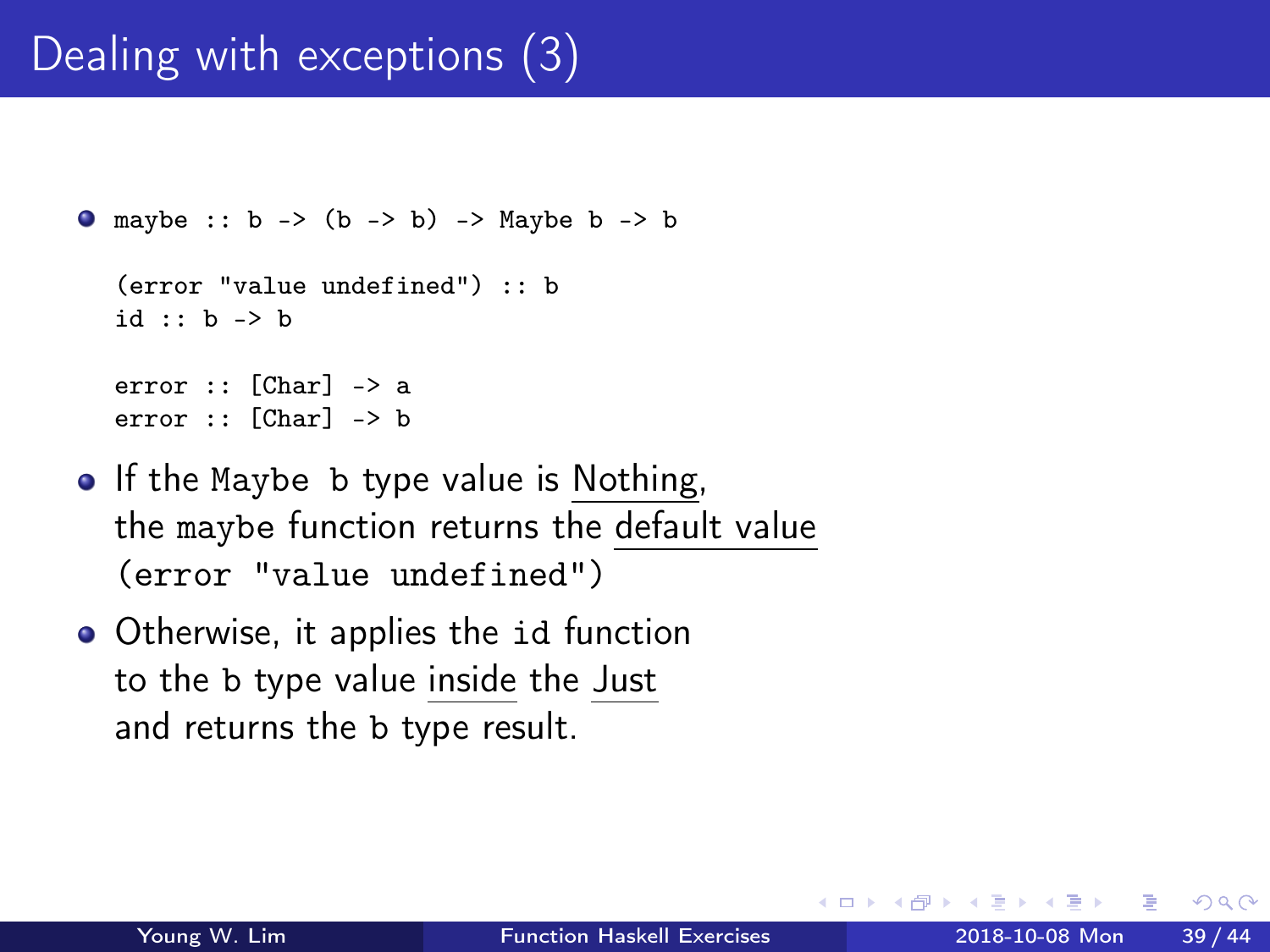# Dealing with exceptions (3)

```
\bullet maybe :: b -> (b -> b) -> Maybe b -> b
  (error "value undefined") :: b
  id :: b -> b
  error :: [Char] -> a
  error :: [Char] -> b
```
- If the Maybe b type value is Nothing, the maybe function returns the default value (error "value undefined")
- Otherwise, it applies the id function to the b type value inside the Just and returns the b type result.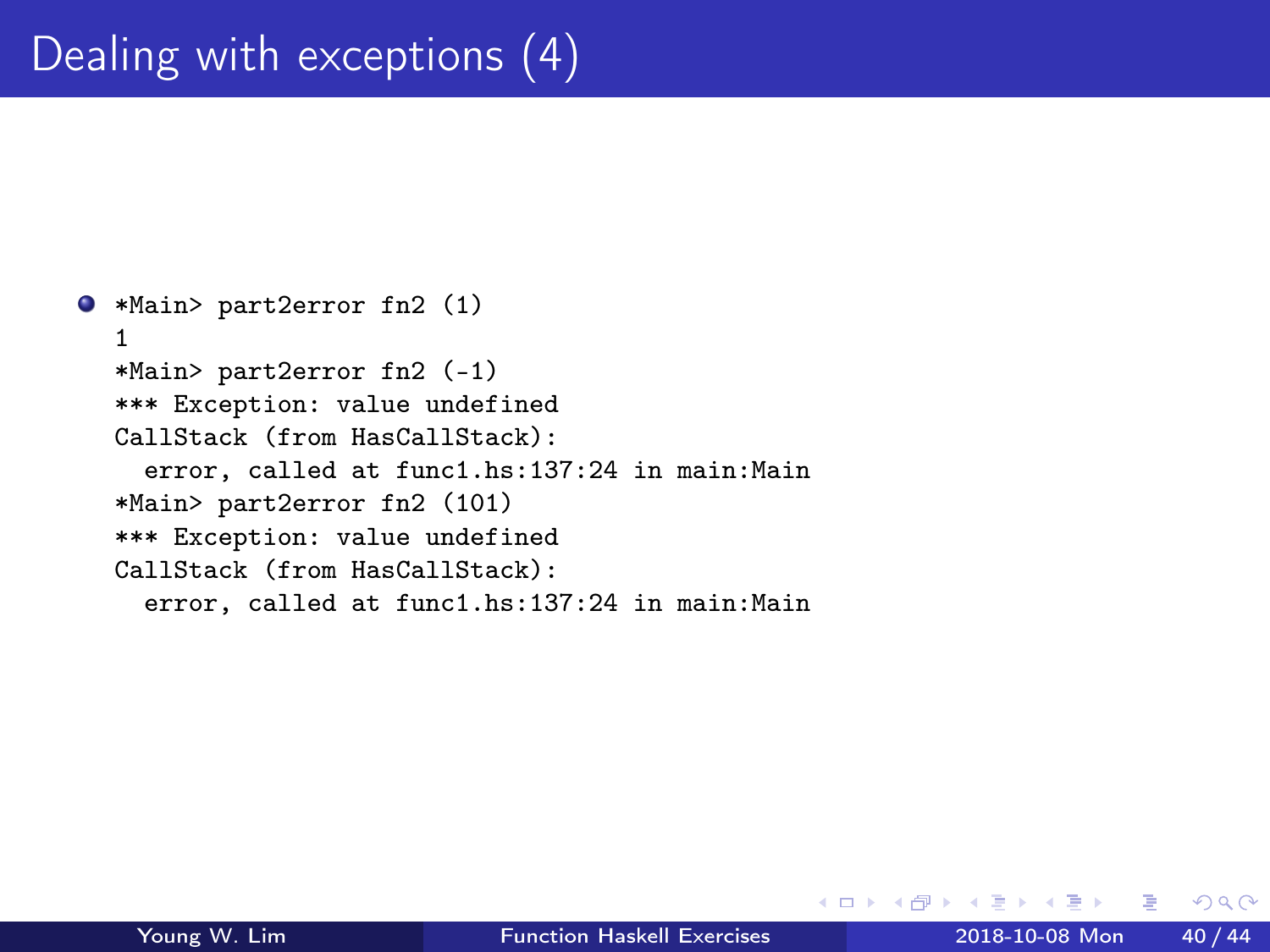```
*Main> part2error fn2 (1)
  1
  *Main> part2error fn2 (-1)
  *** Exception: value undefined
  CallStack (from HasCallStack):
    error, called at func1.hs:137:24 in main:Main
  *Main> part2error fn2 (101)
  *** Exception: value undefined
  CallStack (from HasCallStack):
    error, called at func1.hs:137:24 in main:Main
```
 $\leftarrow$   $\Box$ 

4 何 ) 4

 $QQ$ 

÷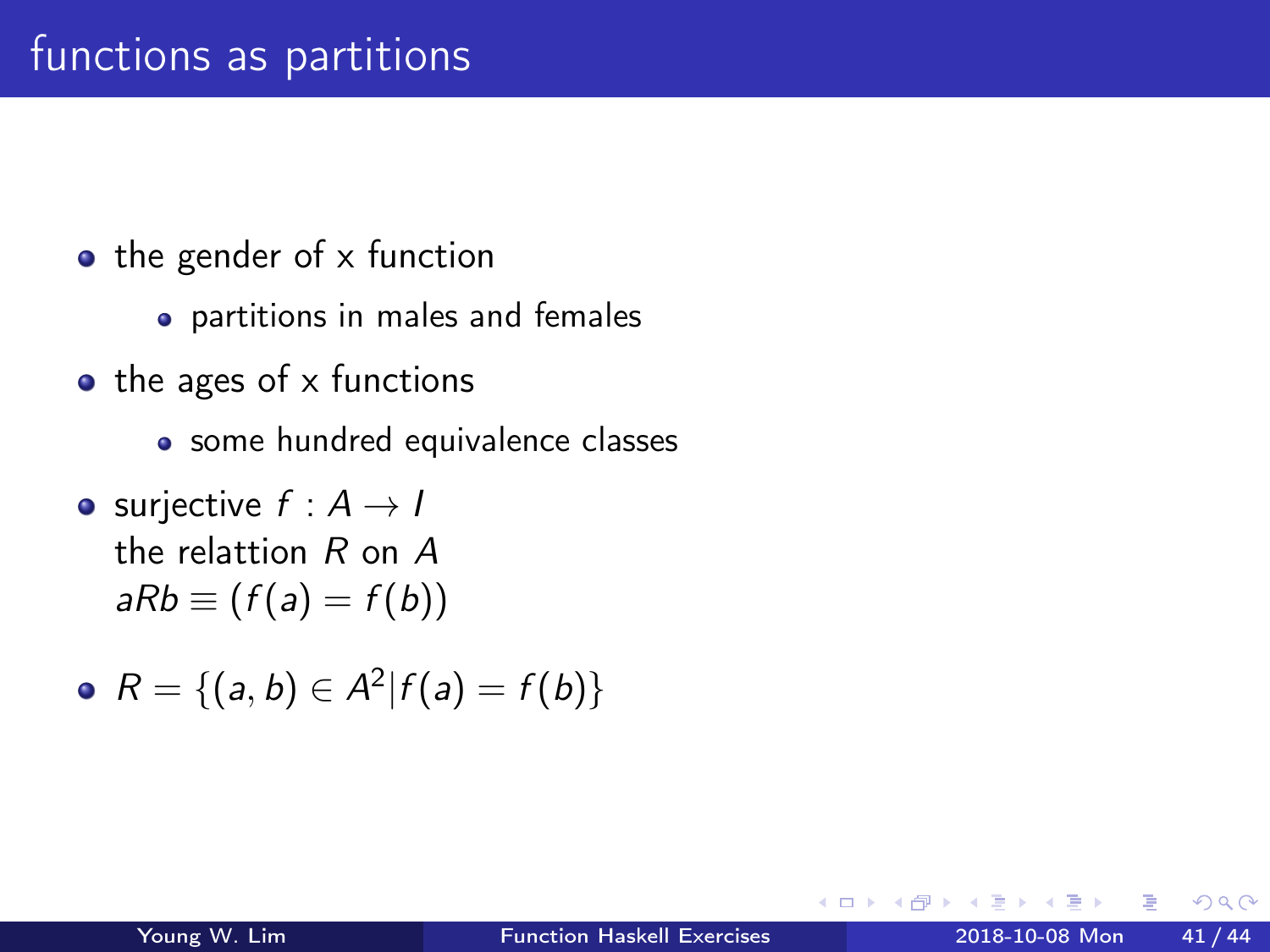- $\bullet$  the gender of x function
	- partitions in males and females
- $\bullet$  the ages of x functions
	- some hundred equivalence classes
- surjective  $f : A \rightarrow I$ the relattion R on A  $aRb \equiv (f(a) = f(b))$
- $R = \{(a, b) \in A^2 | f(a) = f(b)\}\$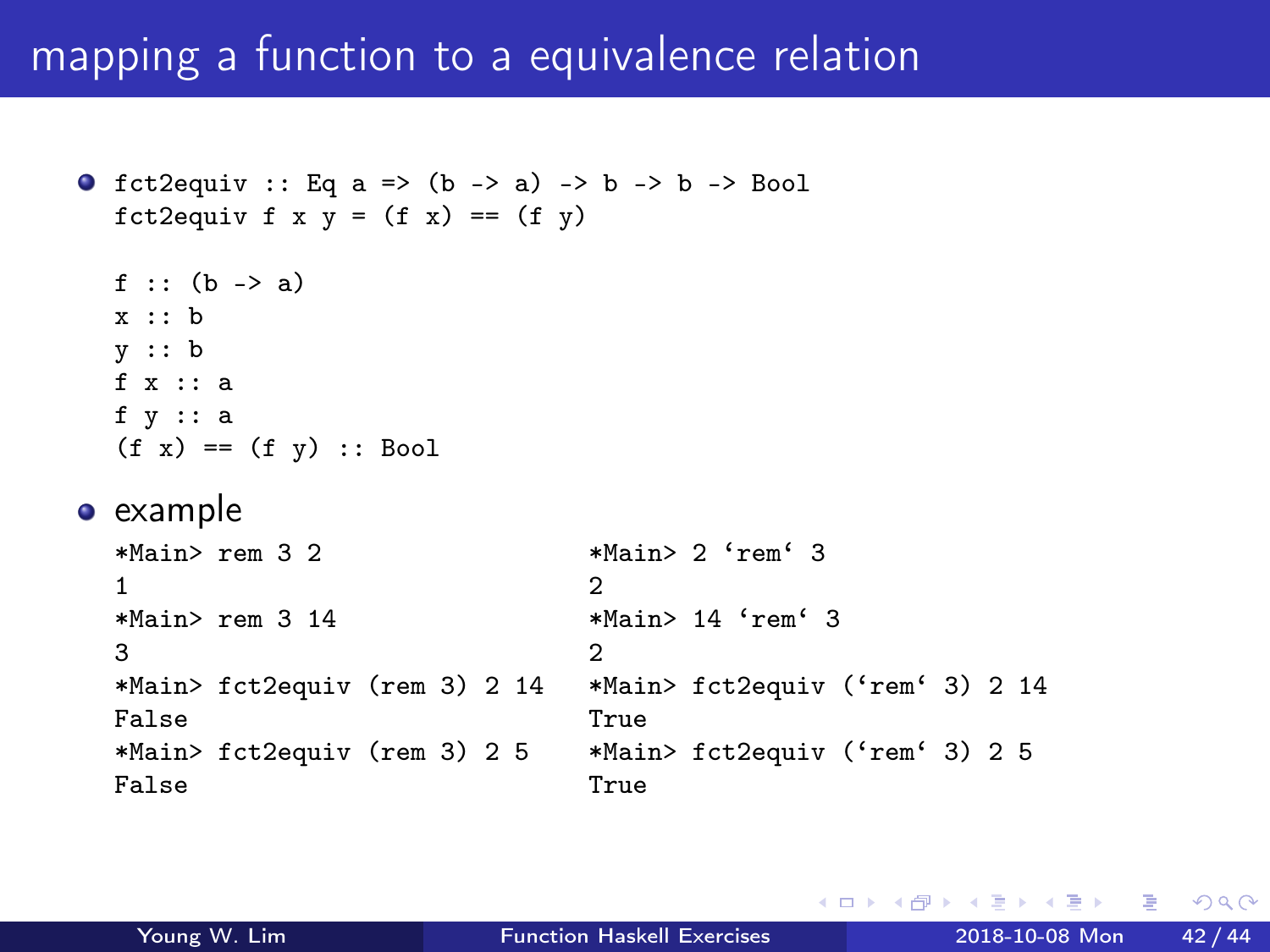### mapping a function to a equivalence relation

```
O fct2equiv :: Eq a => (b \rightarrow a) -> b \rightarrow b -> Bool
 fct2equiv f x y = (f x) == (f y)f :: (b \rightarrow a)x :: b
 y :: b
 f x :: a
 f y :: a
 (f x) == (f y) :: Bool• example
 *Main> rem 3 2 *Main> 2 'rem' 3
  1 2
 *Main> rem 3 14 *Main> 14 'rem' 3
  3 2
 *Main> fct2equiv (rem 3) 2 14 *Main> fct2equiv ('rem' 3) 2 14
  False True
 *Main> fct2equiv (rem 3) 2 5 *Main> fct2equiv ('rem' 3) 2 5
  False True
```
イロト イ押ト イヨト イヨトー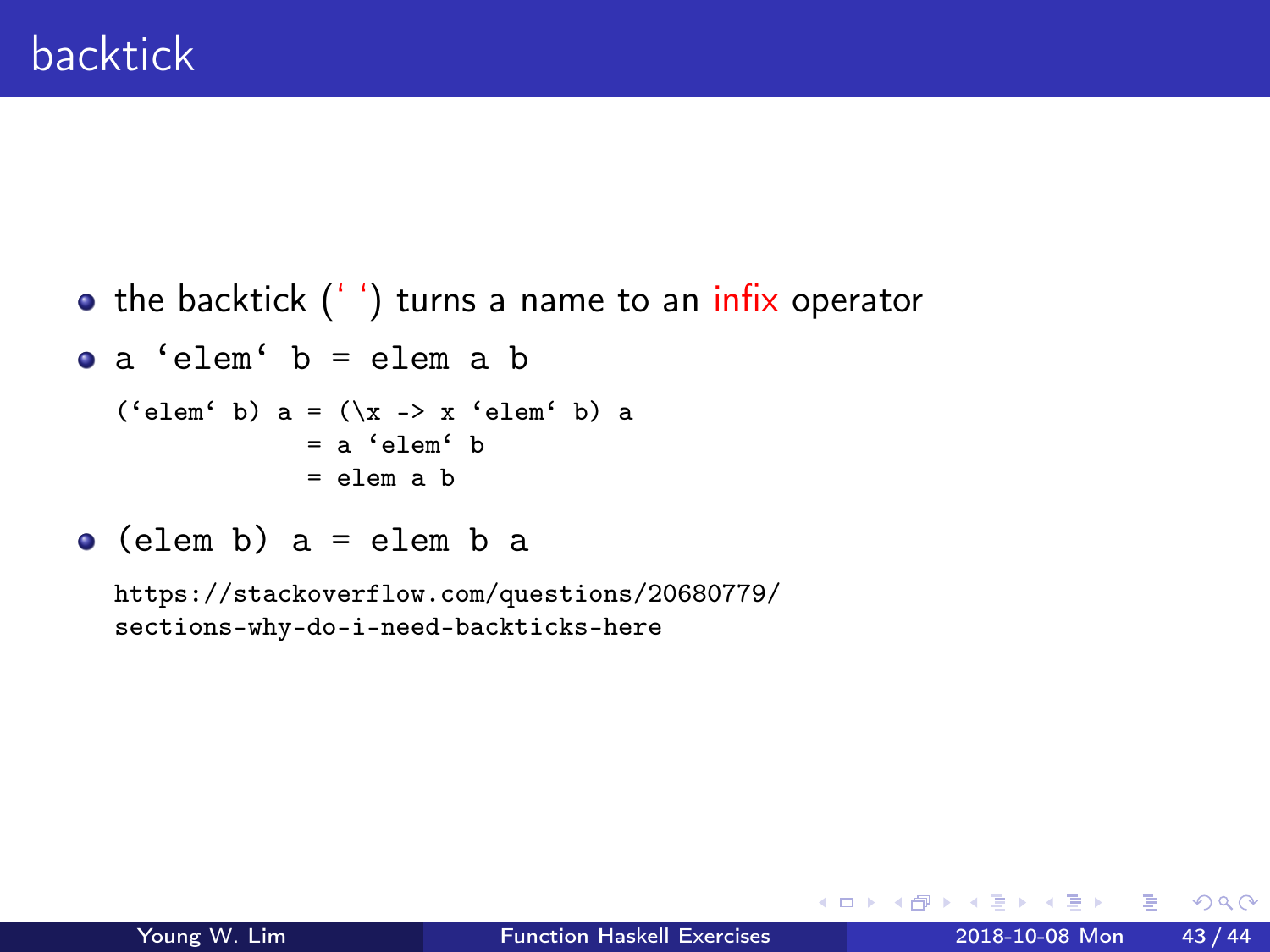```
• the backtick ('') turns a name to an infix operator
a 'elem' b = elem a b
  ('elem' b) a = (\xrightarrow{x} -\xrightarrow{e} a^e) a= a 'elem' b
                = elem a h
```

```
\bullet (elem b) a = elem b a
```
https://stackoverflow.com/questions/20680779/ sections-why-do-i-need-backticks-here

4 **E** F

 $\leftarrow$   $\leftarrow$   $\leftarrow$   $\leftarrow$ 

÷

En Silva

 $QQ$